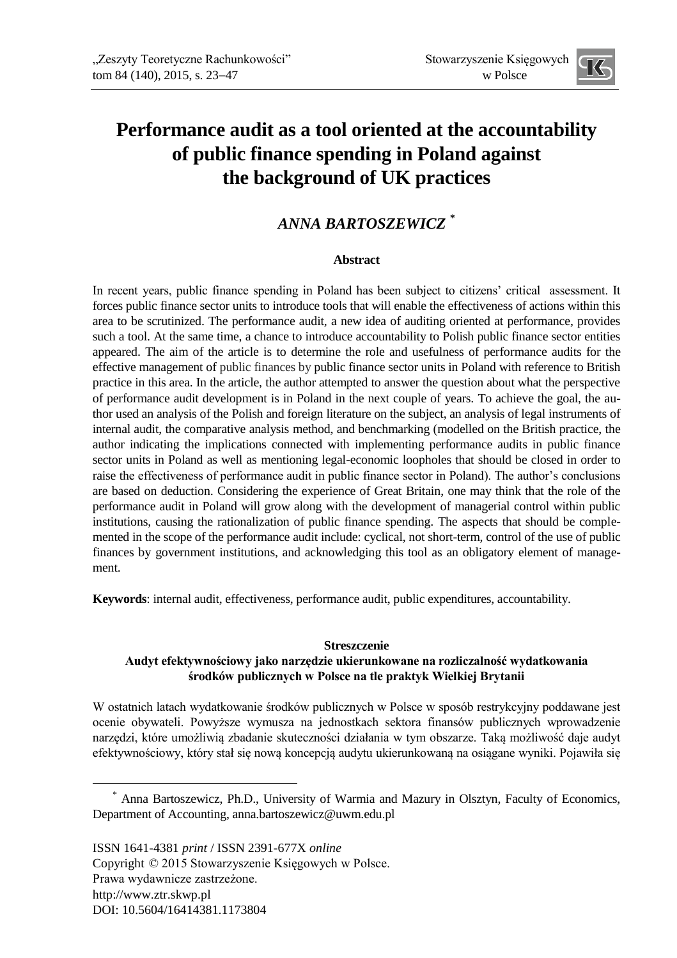

# **Performance audit as a tool oriented at the accountability of public finance spending in Poland against the background of UK practices**

### *ANNA BARTOSZEWICZ* **\***

### **Abstract**

In recent years, public finance spending in Poland has been subject to citizens' critical assessment. It forces public finance sector units to introduce tools that will enable the effectiveness of actions within this area to be scrutinized. The performance audit, a new idea of auditing oriented at performance, provides such a tool. At the same time, a chance to introduce accountability to Polish public finance sector entities appeared. The aim of the article is to determine the role and usefulness of performance audits for the effective management of public finances by public finance sector units in Poland with reference to British practice in this area. In the article, the author attempted to answer the question about what the perspective of performance audit development is in Poland in the next couple of years. To achieve the goal, the author used an analysis of the Polish and foreign literature on the subject, an analysis of legal instruments of internal audit, the comparative analysis method, and benchmarking (modelled on the British practice, the author indicating the implications connected with implementing performance audits in public finance sector units in Poland as well as mentioning legal-economic loopholes that should be closed in order to raise the effectiveness of performance audit in public finance sector in Poland). The author's conclusions are based on deduction. Considering the experience of Great Britain, one may think that the role of the performance audit in Poland will grow along with the development of managerial control within public institutions, causing the rationalization of public finance spending. The aspects that should be complemented in the scope of the performance audit include: cyclical, not short-term, control of the use of public finances by government institutions, and acknowledging this tool as an obligatory element of management.

**Keywords**: internal audit, effectiveness, performance audit, public expenditures, accountability.

#### **Streszczenie**

### **Audyt efektywnościowy jako narzędzie ukierunkowane na rozliczalność wydatkowania środków publicznych w Polsce na tle praktyk Wielkiej Brytanii**

W ostatnich latach wydatkowanie środków publicznych w Polsce w sposób restrykcyjny poddawane jest ocenie obywateli. Powyższe wymusza na jednostkach sektora finansów publicznych wprowadzenie narzędzi, które umożliwią zbadanie skuteczności działania w tym obszarze. Taką możliwość daje audyt efektywnościowy, który stał się nową koncepcją audytu ukierunkowaną na osiągane wyniki. Pojawiła się

-

<sup>\*</sup> Anna Bartoszewicz, Ph.D., University of Warmia and Mazury in Olsztyn, Faculty of Economics, Department of Accounting, anna.bartoszewicz@uwm.edu.pl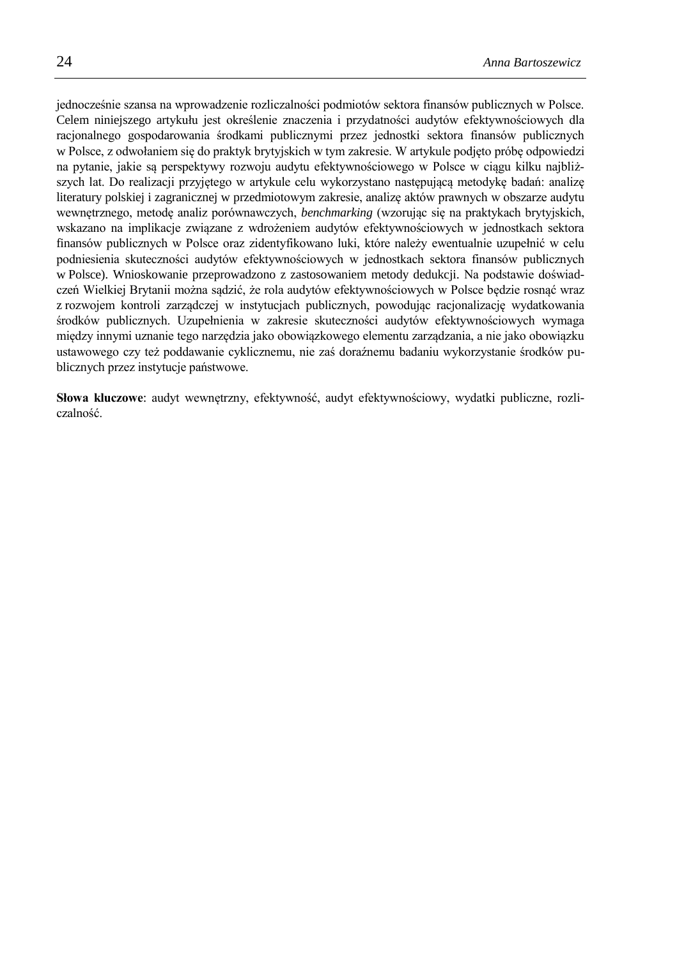jednocześnie szansa na wprowadzenie rozliczalności podmiotów sektora finansów publicznych w Polsce. Celem niniejszego artykułu jest określenie znaczenia i przydatności audytów efektywnościowych dla racjonalnego gospodarowania środkami publicznymi przez jednostki sektora finansów publicznych w Polsce, z odwołaniem się do praktyk brytyjskich w tym zakresie. W artykule podjęto próbę odpowiedzi na pytanie, jakie są perspektywy rozwoju audytu efektywnościowego w Polsce w ciągu kilku najbliższych lat. Do realizacji przyjętego w artykule celu wykorzystano następującą metodykę badań: analizę literatury polskiej i zagranicznej w przedmiotowym zakresie, analizę aktów prawnych w obszarze audytu wewnętrznego, metodę analiz porównawczych, *benchmarking* (wzorując się na praktykach brytyjskich, wskazano na implikacje związane z wdrożeniem audytów efektywnościowych w jednostkach sektora finansów publicznych w Polsce oraz zidentyfikowano luki, które należy ewentualnie uzupełnić w celu podniesienia skuteczności audytów efektywnościowych w jednostkach sektora finansów publicznych w Polsce). Wnioskowanie przeprowadzono z zastosowaniem metody dedukcji. Na podstawie doświadczeń Wielkiej Brytanii można sądzić, że rola audytów efektywnościowych w Polsce bedzie rosnąć wraz z rozwojem kontroli zarządczej w instytucjach publicznych, powodując racjonalizację wydatkowania środków publicznych. Uzupełnienia w zakresie skuteczności audytów efektywnościowych wymaga między innymi uznanie tego narzędzia jako obowiązkowego elementu zarządzania, a nie jako obowiązku ustawowego czy też poddawanie cyklicznemu, nie zaś doraźnemu badaniu wykorzystanie środków publicznych przez instytucje państwowe.

**Słowa kluczowe**: audyt wewnętrzny, efektywność, audyt efektywnościowy, wydatki publiczne, rozliczalność.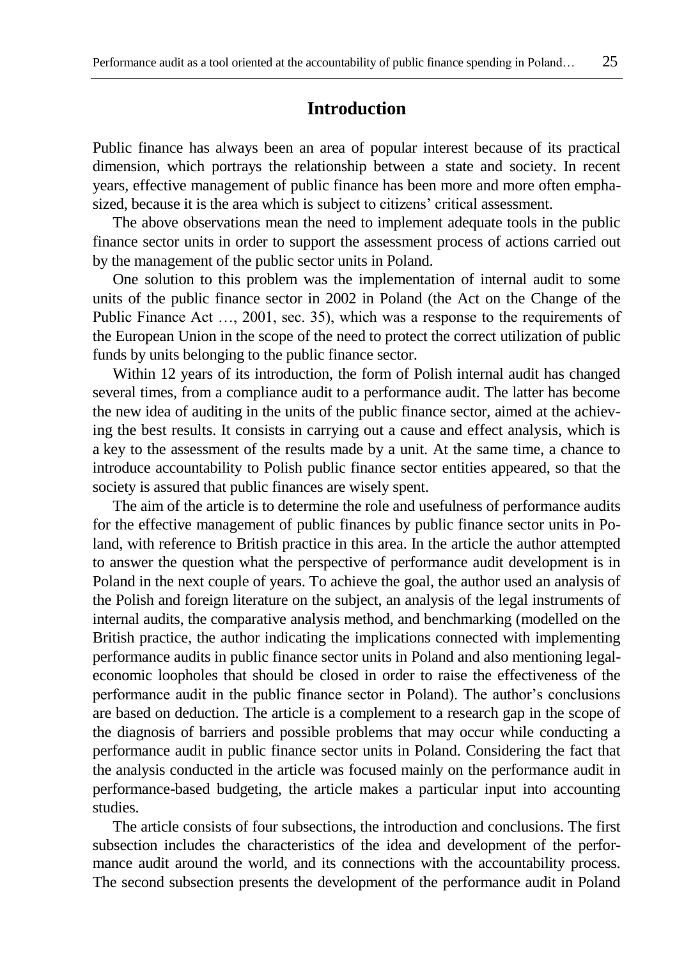### **Introduction**

Public finance has always been an area of popular interest because of its practical dimension, which portrays the relationship between a state and society. In recent years, effective management of public finance has been more and more often emphasized, because it is the area which is subject to citizens' critical assessment.

The above observations mean the need to implement adequate tools in the public finance sector units in order to support the assessment process of actions carried out by the management of the public sector units in Poland.

One solution to this problem was the implementation of internal audit to some units of the public finance sector in 2002 in Poland (the Act on the Change of the Public Finance Act …, 2001, sec. 35), which was a response to the requirements of the European Union in the scope of the need to protect the correct utilization of public funds by units belonging to the public finance sector.

Within 12 years of its introduction, the form of Polish internal audit has changed several times, from a compliance audit to a performance audit. The latter has become the new idea of auditing in the units of the public finance sector, aimed at the achieving the best results. It consists in carrying out a cause and effect analysis, which is a key to the assessment of the results made by a unit. At the same time, a chance to introduce accountability to Polish public finance sector entities appeared, so that the society is assured that public finances are wisely spent.

The aim of the article is to determine the role and usefulness of performance audits for the effective management of public finances by public finance sector units in Poland, with reference to British practice in this area. In the article the author attempted to answer the question what the perspective of performance audit development is in Poland in the next couple of years. To achieve the goal, the author used an analysis of the Polish and foreign literature on the subject, an analysis of the legal instruments of internal audits, the comparative analysis method, and benchmarking (modelled on the British practice, the author indicating the implications connected with implementing performance audits in public finance sector units in Poland and also mentioning legaleconomic loopholes that should be closed in order to raise the effectiveness of the performance audit in the public finance sector in Poland). The author's conclusions are based on deduction. The article is a complement to a research gap in the scope of the diagnosis of barriers and possible problems that may occur while conducting a performance audit in public finance sector units in Poland. Considering the fact that the analysis conducted in the article was focused mainly on the performance audit in performance-based budgeting, the article makes a particular input into accounting studies.

The article consists of four subsections, the introduction and conclusions. The first subsection includes the characteristics of the idea and development of the performance audit around the world, and its connections with the accountability process. The second subsection presents the development of the performance audit in Poland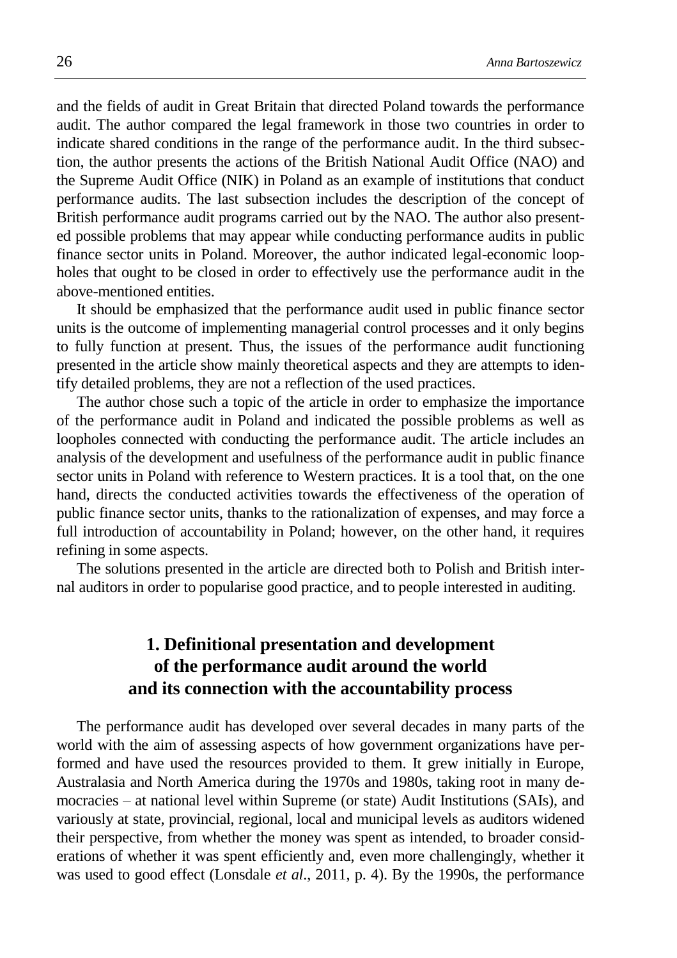and the fields of audit in Great Britain that directed Poland towards the performance audit. The author compared the legal framework in those two countries in order to indicate shared conditions in the range of the performance audit. In the third subsection, the author presents the actions of the British National Audit Office (NAO) and the Supreme Audit Office (NIK) in Poland as an example of institutions that conduct performance audits. The last subsection includes the description of the concept of British performance audit programs carried out by the NAO. The author also presented possible problems that may appear while conducting performance audits in public finance sector units in Poland. Moreover, the author indicated legal-economic loopholes that ought to be closed in order to effectively use the performance audit in the above-mentioned entities.

It should be emphasized that the performance audit used in public finance sector units is the outcome of implementing managerial control processes and it only begins to fully function at present. Thus, the issues of the performance audit functioning presented in the article show mainly theoretical aspects and they are attempts to identify detailed problems, they are not a reflection of the used practices.

The author chose such a topic of the article in order to emphasize the importance of the performance audit in Poland and indicated the possible problems as well as loopholes connected with conducting the performance audit. The article includes an analysis of the development and usefulness of the performance audit in public finance sector units in Poland with reference to Western practices. It is a tool that, on the one hand, directs the conducted activities towards the effectiveness of the operation of public finance sector units, thanks to the rationalization of expenses, and may force a full introduction of accountability in Poland; however, on the other hand, it requires refining in some aspects.

The solutions presented in the article are directed both to Polish and British internal auditors in order to popularise good practice, and to people interested in auditing.

## **1. Definitional presentation and development of the performance audit around the world and its connection with the accountability process**

The performance audit has developed over several decades in many parts of the world with the aim of assessing aspects of how government organizations have performed and have used the resources provided to them. It grew initially in Europe, Australasia and North America during the 1970s and 1980s, taking root in many democracies – at national level within Supreme (or state) Audit Institutions (SAIs), and variously at state, provincial, regional, local and municipal levels as auditors widened their perspective, from whether the money was spent as intended, to broader considerations of whether it was spent efficiently and, even more challengingly, whether it was used to good effect (Lonsdale *et al*., 2011, p. 4). By the 1990s, the performance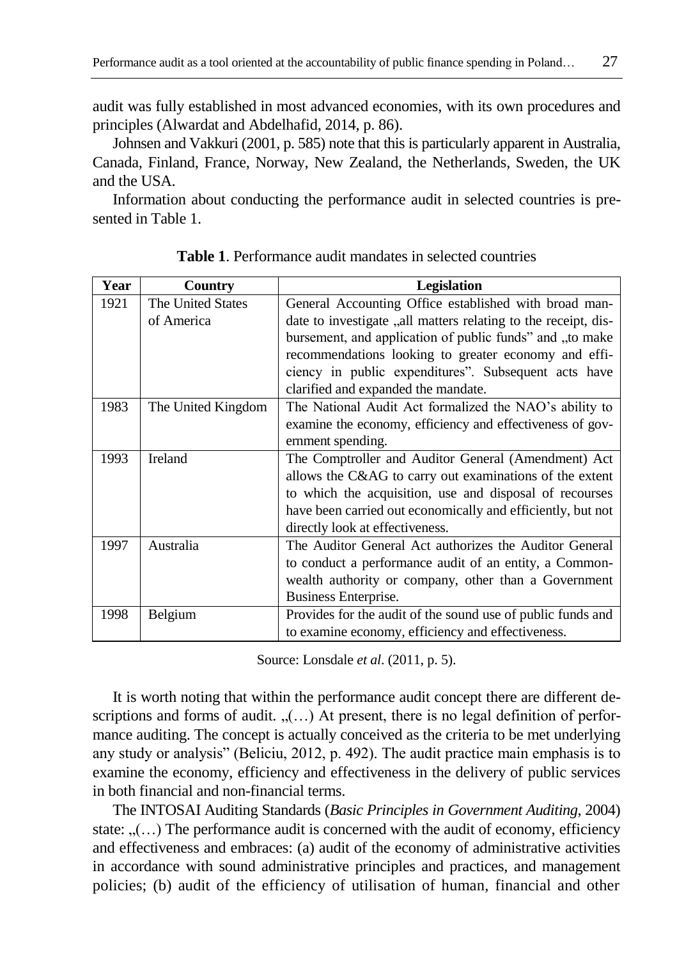audit was fully established in most advanced economies, with its own procedures and principles (Alwardat and Abdelhafid, 2014, p. 86).

Johnsen and Vakkuri (2001, p. 585) note that this is particularly apparent in Australia, Canada, Finland, France, Norway, New Zealand, the Netherlands, Sweden, the UK and the USA.

Information about conducting the performance audit in selected countries is presented in Table 1.

| Year | Country            | <b>Legislation</b>                                              |
|------|--------------------|-----------------------------------------------------------------|
| 1921 | The United States  | General Accounting Office established with broad man-           |
|      | of America         | date to investigate , all matters relating to the receipt, dis- |
|      |                    | bursement, and application of public funds" and "to make        |
|      |                    | recommendations looking to greater economy and effi-            |
|      |                    | ciency in public expenditures". Subsequent acts have            |
|      |                    | clarified and expanded the mandate.                             |
| 1983 | The United Kingdom | The National Audit Act formalized the NAO's ability to          |
|      |                    | examine the economy, efficiency and effectiveness of gov-       |
|      |                    | ernment spending.                                               |
| 1993 | Ireland            | The Comptroller and Auditor General (Amendment) Act             |
|      |                    | allows the C&AG to carry out examinations of the extent         |
|      |                    | to which the acquisition, use and disposal of recourses         |
|      |                    | have been carried out economically and efficiently, but not     |
|      |                    | directly look at effectiveness.                                 |
| 1997 | Australia          | The Auditor General Act authorizes the Auditor General          |
|      |                    | to conduct a performance audit of an entity, a Common-          |
|      |                    | wealth authority or company, other than a Government            |
|      |                    | Business Enterprise.                                            |
| 1998 | Belgium            | Provides for the audit of the sound use of public funds and     |
|      |                    | to examine economy, efficiency and effectiveness.               |

**Table 1**. Performance audit mandates in selected countries

Source: Lonsdale *et al*. (2011, p. 5).

It is worth noting that within the performance audit concept there are different descriptions and forms of audit.  $($ ...) At present, there is no legal definition of performance auditing. The concept is actually conceived as the criteria to be met underlying any study or analysis" (Beliciu, 2012, p. 492). The audit practice main emphasis is to examine the economy, efficiency and effectiveness in the delivery of public services in both financial and non-financial terms.

The INTOSAI Auditing Standards (*Basic Principles in Government Auditing*, 2004) state:  $($ ...) The performance audit is concerned with the audit of economy, efficiency and effectiveness and embraces: (a) audit of the economy of administrative activities in accordance with sound administrative principles and practices, and management policies; (b) audit of the efficiency of utilisation of human, financial and other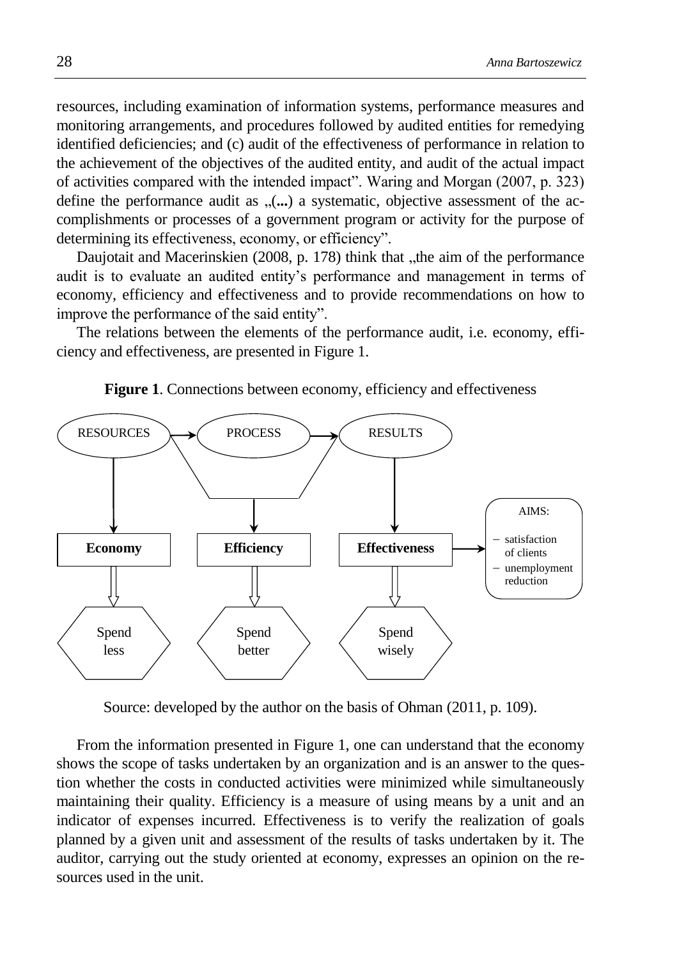resources, including examination of information systems, performance measures and monitoring arrangements, and procedures followed by audited entities for remedying identified deficiencies; and (c) audit of the effectiveness of performance in relation to the achievement of the objectives of the audited entity, and audit of the actual impact of activities compared with the intended impact". Waring and Morgan (2007, p. 323) define the performance audit as  $($ ...) a systematic, objective assessment of the accomplishments or processes of a government program or activity for the purpose of determining its effectiveness, economy, or efficiency".

Daujotait and Macerinskien (2008, p. 178) think that "the aim of the performance audit is to evaluate an audited entity's performance and management in terms of economy, efficiency and effectiveness and to provide recommendations on how to improve the performance of the said entity".

The relations between the elements of the performance audit, i.e. economy, efficiency and effectiveness, are presented in Figure 1.



**Figure 1**. Connections between economy, efficiency and effectiveness

Source: developed by the author on the basis of Ohman (2011, p. 109).

From the information presented in Figure 1, one can understand that the economy shows the scope of tasks undertaken by an organization and is an answer to the question whether the costs in conducted activities were minimized while simultaneously maintaining their quality. Efficiency is a measure of using means by a unit and an indicator of expenses incurred. Effectiveness is to verify the realization of goals planned by a given unit and assessment of the results of tasks undertaken by it. The auditor, carrying out the study oriented at economy, expresses an opinion on the resources used in the unit.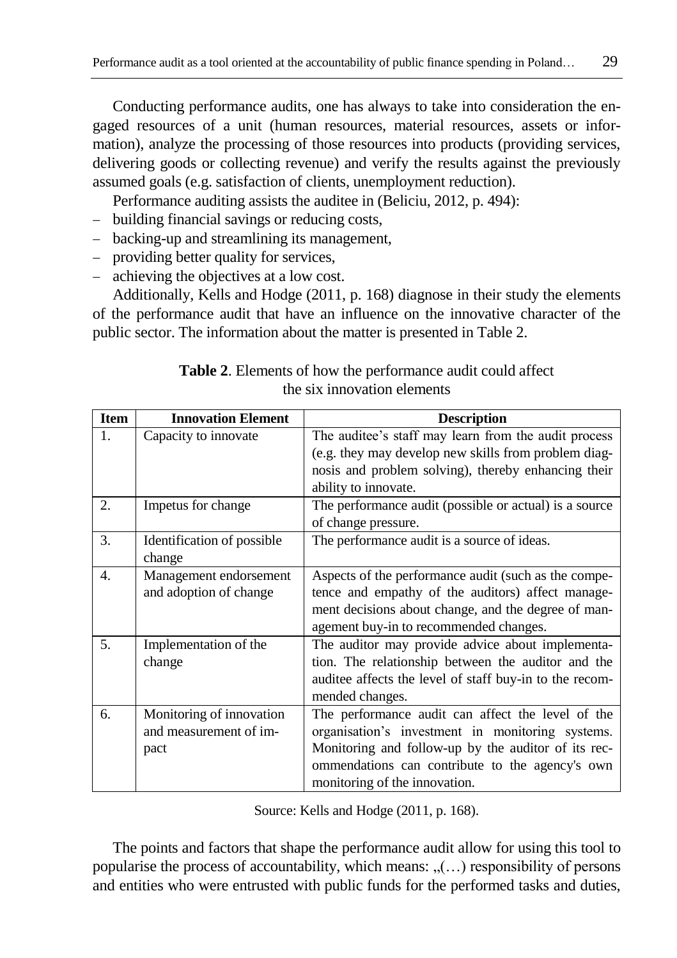Conducting performance audits, one has always to take into consideration the engaged resources of a unit (human resources, material resources, assets or information), analyze the processing of those resources into products (providing services, delivering goods or collecting revenue) and verify the results against the previously assumed goals (e.g. satisfaction of clients, unemployment reduction).

Performance auditing assists the auditee in (Beliciu, 2012, p. 494):

- building financial savings or reducing costs,
- backing-up and streamlining its management,
- providing better quality for services,
- achieving the objectives at a low cost.

Additionally, Kells and Hodge (2011, p. 168) diagnose in their study the elements of the performance audit that have an influence on the innovative character of the public sector. The information about the matter is presented in Table 2.

| <b>Item</b> | <b>Innovation Element</b>                                  | <b>Description</b>                                                                                                                                                                                                                               |
|-------------|------------------------------------------------------------|--------------------------------------------------------------------------------------------------------------------------------------------------------------------------------------------------------------------------------------------------|
| 1.          | Capacity to innovate                                       | The auditee's staff may learn from the audit process<br>(e.g. they may develop new skills from problem diag-<br>nosis and problem solving), thereby enhancing their<br>ability to innovate.                                                      |
| 2.          | Impetus for change                                         | The performance audit (possible or actual) is a source<br>of change pressure.                                                                                                                                                                    |
| 3.          | Identification of possible<br>change                       | The performance audit is a source of ideas.                                                                                                                                                                                                      |
| 4.          | Management endorsement<br>and adoption of change           | Aspects of the performance audit (such as the compe-<br>tence and empathy of the auditors) affect manage-<br>ment decisions about change, and the degree of man-<br>agement buy-in to recommended changes.                                       |
| 5.          | Implementation of the<br>change                            | The auditor may provide advice about implementa-<br>tion. The relationship between the auditor and the<br>auditee affects the level of staff buy-in to the recom-<br>mended changes.                                                             |
| 6.          | Monitoring of innovation<br>and measurement of im-<br>pact | The performance audit can affect the level of the<br>organisation's investment in monitoring systems.<br>Monitoring and follow-up by the auditor of its rec-<br>ommendations can contribute to the agency's own<br>monitoring of the innovation. |

| <b>Table 2.</b> Elements of how the performance audit could affect |
|--------------------------------------------------------------------|
| the six innovation elements                                        |

Source: Kells and Hodge (2011, p. 168).

The points and factors that shape the performance audit allow for using this tool to popularise the process of accountability, which means:  $($ ...) responsibility of persons and entities who were entrusted with public funds for the performed tasks and duties,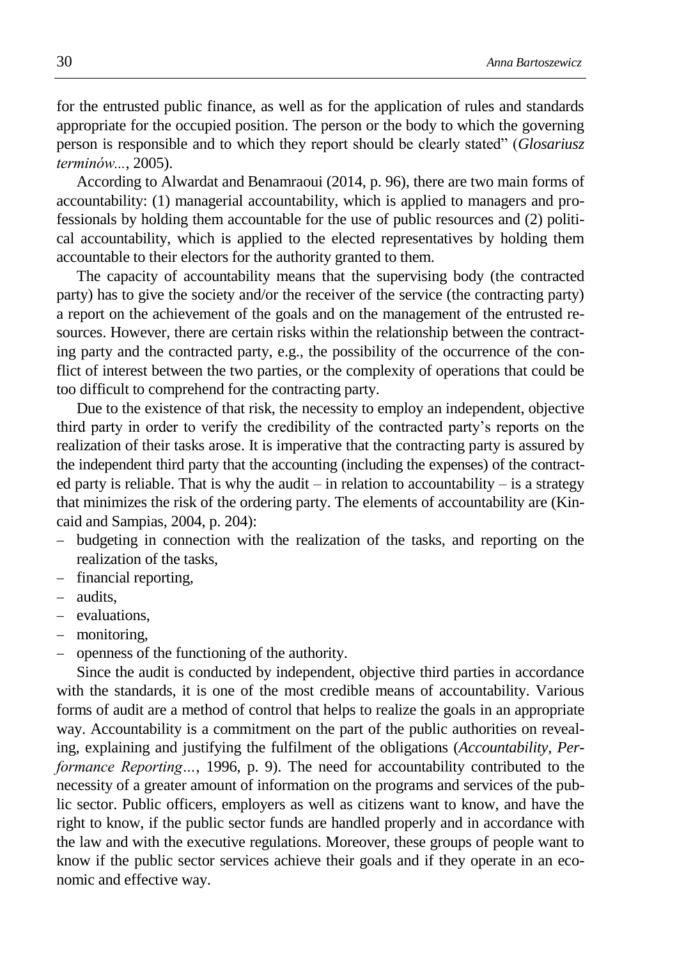for the entrusted public finance, as well as for the application of rules and standards appropriate for the occupied position. The person or the body to which the governing person is responsible and to which they report should be clearly stated" (*Glosariusz terminów...*, 2005).

According to Alwardat and Benamraoui (2014, p. 96), there are two main forms of accountability: (1) managerial accountability, which is applied to managers and professionals by holding them accountable for the use of public resources and (2) political accountability, which is applied to the elected representatives by holding them accountable to their electors for the authority granted to them.

The capacity of accountability means that the supervising body (the contracted party) has to give the society and/or the receiver of the service (the contracting party) a report on the achievement of the goals and on the management of the entrusted resources. However, there are certain risks within the relationship between the contracting party and the contracted party, e.g., the possibility of the occurrence of the conflict of interest between the two parties, or the complexity of operations that could be too difficult to comprehend for the contracting party.

Due to the existence of that risk, the necessity to employ an independent, objective third party in order to verify the credibility of the contracted party's reports on the realization of their tasks arose. It is imperative that the contracting party is assured by the independent third party that the accounting (including the expenses) of the contracted party is reliable. That is why the audit – in relation to accountability – is a strategy that minimizes the risk of the ordering party. The elements of accountability are (Kincaid and Sampias, 2004, p. 204):

- budgeting in connection with the realization of the tasks, and reporting on the realization of the tasks,
- financial reporting,
- audits,
- evaluations.
- monitoring,
- openness of the functioning of the authority.

Since the audit is conducted by independent, objective third parties in accordance with the standards, it is one of the most credible means of accountability. Various forms of audit are a method of control that helps to realize the goals in an appropriate way. Accountability is a commitment on the part of the public authorities on revealing, explaining and justifying the fulfilment of the obligations (*Accountability, Performance Reporting…*, 1996, p. 9). The need for accountability contributed to the necessity of a greater amount of information on the programs and services of the public sector. Public officers, employers as well as citizens want to know, and have the right to know, if the public sector funds are handled properly and in accordance with the law and with the executive regulations. Moreover, these groups of people want to know if the public sector services achieve their goals and if they operate in an economic and effective way.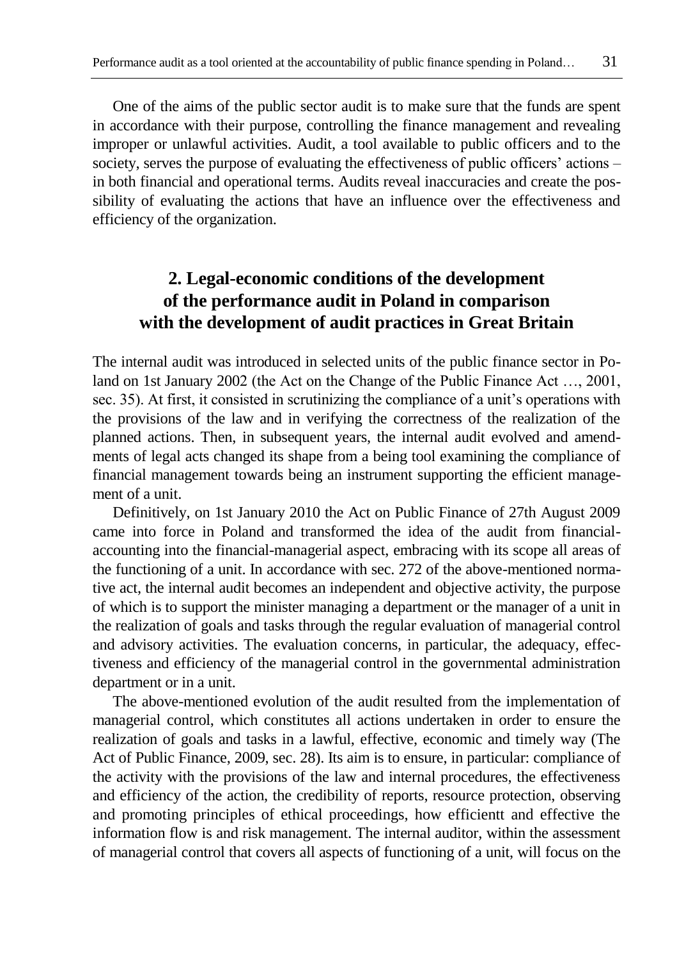One of the aims of the public sector audit is to make sure that the funds are spent in accordance with their purpose, controlling the finance management and revealing improper or unlawful activities. Audit, a tool available to public officers and to the society, serves the purpose of evaluating the effectiveness of public officers' actions – in both financial and operational terms. Audits reveal inaccuracies and create the possibility of evaluating the actions that have an influence over the effectiveness and efficiency of the organization.

## **2. Legal-economic conditions of the development of the performance audit in Poland in comparison with the development of audit practices in Great Britain**

The internal audit was introduced in selected units of the public finance sector in Poland on 1st January 2002 (the Act on the Change of the Public Finance Act …, 2001, sec. 35). At first, it consisted in scrutinizing the compliance of a unit's operations with the provisions of the law and in verifying the correctness of the realization of the planned actions. Then, in subsequent years, the internal audit evolved and amendments of legal acts changed its shape from a being tool examining the compliance of financial management towards being an instrument supporting the efficient management of a unit.

Definitively, on 1st January 2010 the Act on Public Finance of 27th August 2009 came into force in Poland and transformed the idea of the audit from financialaccounting into the financial-managerial aspect, embracing with its scope all areas of the functioning of a unit. In accordance with sec. 272 of the above-mentioned normative act, the internal audit becomes an independent and objective activity, the purpose of which is to support the minister managing a department or the manager of a unit in the realization of goals and tasks through the regular evaluation of managerial control and advisory activities. The evaluation concerns, in particular, the adequacy, effectiveness and efficiency of the managerial control in the governmental administration department or in a unit.

The above-mentioned evolution of the audit resulted from the implementation of managerial control, which constitutes all actions undertaken in order to ensure the realization of goals and tasks in a lawful, effective, economic and timely way (The Act of Public Finance, 2009, sec. 28). Its aim is to ensure, in particular: compliance of the activity with the provisions of the law and internal procedures, the effectiveness and efficiency of the action, the credibility of reports, resource protection, observing and promoting principles of ethical proceedings, how efficientt and effective the information flow is and risk management. The internal auditor, within the assessment of managerial control that covers all aspects of functioning of a unit, will focus on the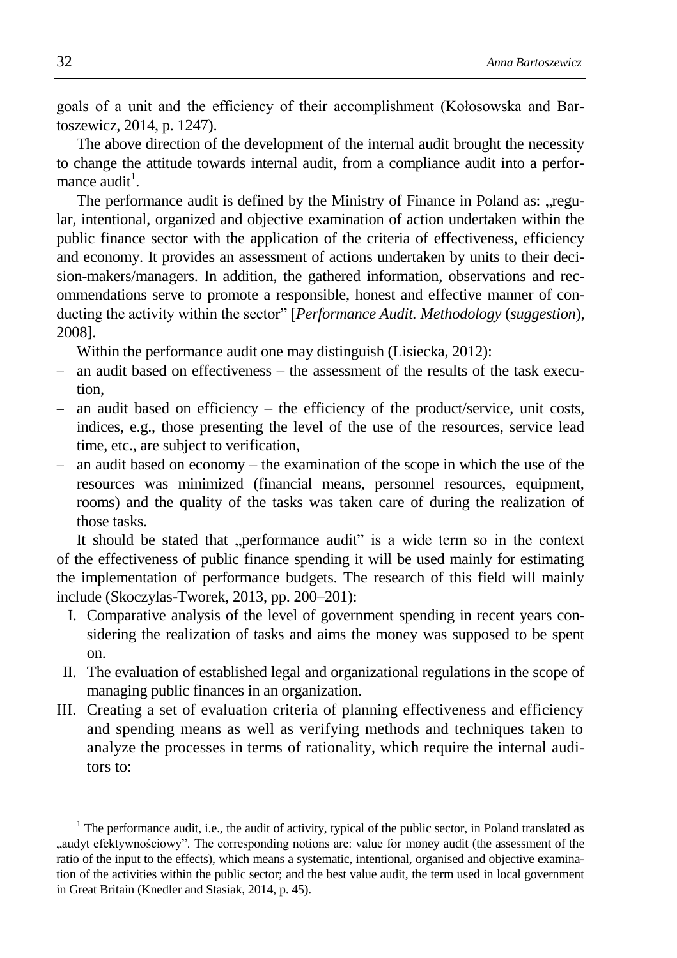goals of a unit and the efficiency of their accomplishment (Kołosowska and Bartoszewicz, 2014, p. 1247).

The above direction of the development of the internal audit brought the necessity to change the attitude towards internal audit, from a compliance audit into a performance audit<sup>1</sup>.

The performance audit is defined by the Ministry of Finance in Poland as: "regular, intentional, organized and objective examination of action undertaken within the public finance sector with the application of the criteria of effectiveness, efficiency and economy. It provides an assessment of actions undertaken by units to their decision-makers/managers. In addition, the gathered information, observations and recommendations serve to promote a responsible, honest and effective manner of conducting the activity within the sector" [*Performance Audit. Methodology* (*suggestion*), 2008].

Within the performance audit one may distinguish (Lisiecka, 2012):

- an audit based on effectiveness the assessment of the results of the task execution,
- an audit based on efficiency the efficiency of the product/service, unit costs, indices, e.g., those presenting the level of the use of the resources, service lead time, etc., are subject to verification,
- $-$  an audit based on economy the examination of the scope in which the use of the resources was minimized (financial means, personnel resources, equipment, rooms) and the quality of the tasks was taken care of during the realization of those tasks.

It should be stated that "performance audit" is a wide term so in the context of the effectiveness of public finance spending it will be used mainly for estimating the implementation of performance budgets. The research of this field will mainly include (Skoczylas-Tworek, 2013, pp. 200–201):

- I. Comparative analysis of the level of government spending in recent years considering the realization of tasks and aims the money was supposed to be spent on.
- II. The evaluation of established legal and organizational regulations in the scope of managing public finances in an organization.
- III. Creating a set of evaluation criteria of planning effectiveness and efficiency and spending means as well as verifying methods and techniques taken to analyze the processes in terms of rationality, which require the internal auditors to:

1

<sup>&</sup>lt;sup>1</sup> The performance audit, i.e., the audit of activity, typical of the public sector, in Poland translated as audyt efektywnościowy". The corresponding notions are: value for money audit (the assessment of the ratio of the input to the effects), which means a systematic, intentional, organised and objective examination of the activities within the public sector; and the best value audit, the term used in local government in Great Britain (Knedler and Stasiak, 2014, p. 45).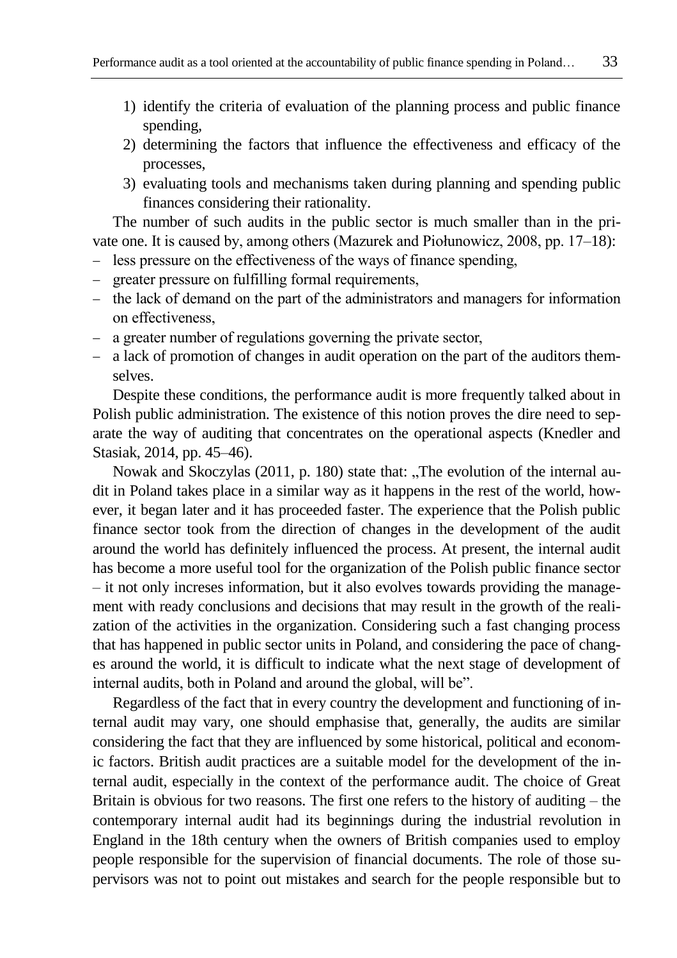- 1) identify the criteria of evaluation of the planning process and public finance spending,
- 2) determining the factors that influence the effectiveness and efficacy of the processes,
- 3) evaluating tools and mechanisms taken during planning and spending public finances considering their rationality.

The number of such audits in the public sector is much smaller than in the private one. It is caused by, among others (Mazurek and Piołunowicz, 2008, pp. 17–18):

- less pressure on the effectiveness of the ways of finance spending,
- greater pressure on fulfilling formal requirements,
- the lack of demand on the part of the administrators and managers for information on effectiveness,
- a greater number of regulations governing the private sector,
- a lack of promotion of changes in audit operation on the part of the auditors themselves.

Despite these conditions, the performance audit is more frequently talked about in Polish public administration. The existence of this notion proves the dire need to separate the way of auditing that concentrates on the operational aspects (Knedler and Stasiak, 2014, pp. 45–46).

Nowak and Skoczylas (2011, p. 180) state that: "The evolution of the internal audit in Poland takes place in a similar way as it happens in the rest of the world, however, it began later and it has proceeded faster. The experience that the Polish public finance sector took from the direction of changes in the development of the audit around the world has definitely influenced the process. At present, the internal audit has become a more useful tool for the organization of the Polish public finance sector – it not only increses information, but it also evolves towards providing the management with ready conclusions and decisions that may result in the growth of the realization of the activities in the organization. Considering such a fast changing process that has happened in public sector units in Poland, and considering the pace of changes around the world, it is difficult to indicate what the next stage of development of internal audits, both in Poland and around the global, will be".

Regardless of the fact that in every country the development and functioning of internal audit may vary, one should emphasise that, generally, the audits are similar considering the fact that they are influenced by some historical, political and economic factors. British audit practices are a suitable model for the development of the internal audit, especially in the context of the performance audit. The choice of Great Britain is obvious for two reasons. The first one refers to the history of auditing – the contemporary internal audit had its beginnings during the industrial revolution in England in the 18th century when the owners of British companies used to employ people responsible for the supervision of financial documents. The role of those supervisors was not to point out mistakes and search for the people responsible but to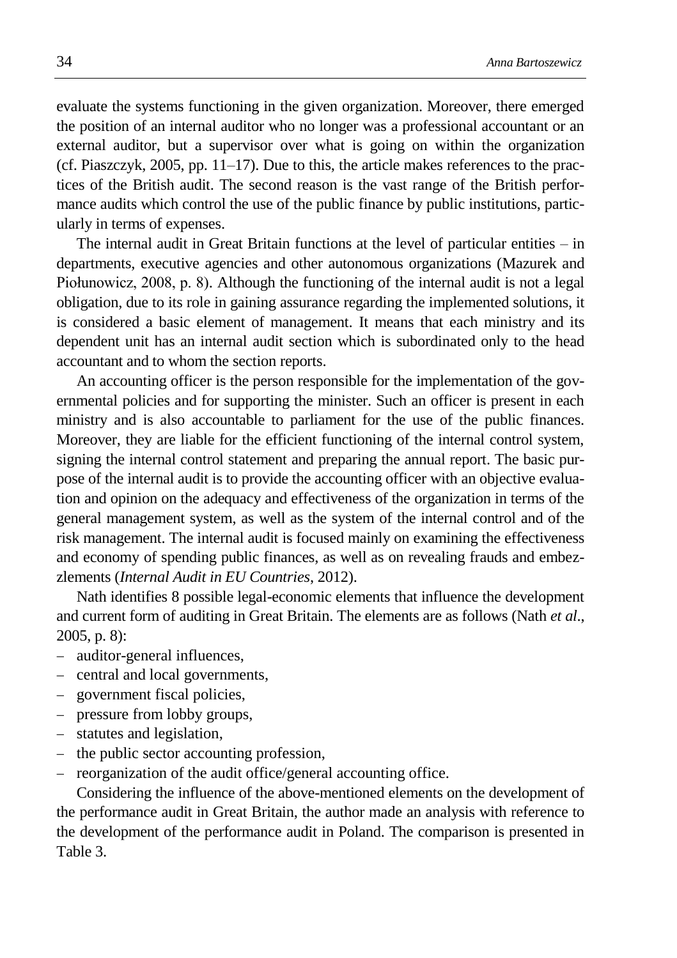evaluate the systems functioning in the given organization. Moreover, there emerged the position of an internal auditor who no longer was a professional accountant or an external auditor, but a supervisor over what is going on within the organization (cf. Piaszczyk, 2005, pp. 11–17). Due to this, the article makes references to the practices of the British audit. The second reason is the vast range of the British performance audits which control the use of the public finance by public institutions, particularly in terms of expenses.

The internal audit in Great Britain functions at the level of particular entities – in departments, executive agencies and other autonomous organizations (Mazurek and Piołunowicz, 2008, p. 8). Although the functioning of the internal audit is not a legal obligation, due to its role in gaining assurance regarding the implemented solutions, it is considered a basic element of management. It means that each ministry and its dependent unit has an internal audit section which is subordinated only to the head accountant and to whom the section reports.

An accounting officer is the person responsible for the implementation of the governmental policies and for supporting the minister. Such an officer is present in each ministry and is also accountable to parliament for the use of the public finances. Moreover, they are liable for the efficient functioning of the internal control system, signing the internal control statement and preparing the annual report. The basic purpose of the internal audit is to provide the accounting officer with an objective evaluation and opinion on the adequacy and effectiveness of the organization in terms of the general management system, as well as the system of the internal control and of the risk management. The internal audit is focused mainly on examining the effectiveness and economy of spending public finances, as well as on revealing frauds and embezzlements (*Internal Audit in EU Countries*, 2012).

Nath identifies 8 possible legal-economic elements that influence the development and current form of auditing in Great Britain. The elements are as follows (Nath *et al*., 2005, p. 8):

- auditor-general influences,
- central and local governments,
- government fiscal policies,
- pressure from lobby groups,
- statutes and legislation,
- the public sector accounting profession,
- reorganization of the audit office/general accounting office.

Considering the influence of the above-mentioned elements on the development of the performance audit in Great Britain, the author made an analysis with reference to the development of the performance audit in Poland. The comparison is presented in Table 3.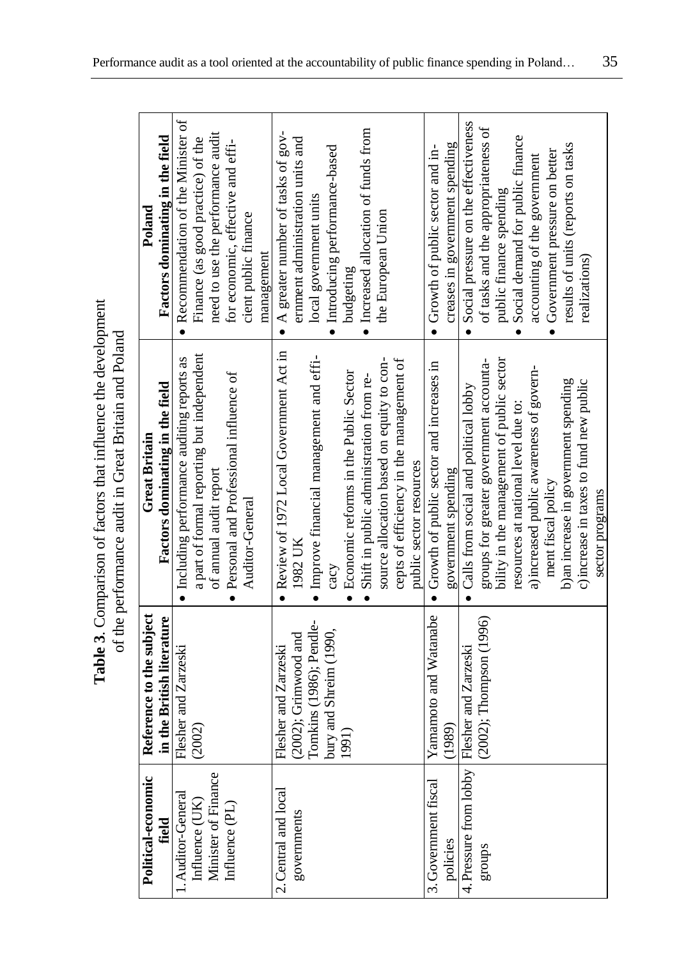|                                               |                                                                     | <b>Table 3.</b> Comparison of factors that influence the development<br>of the performance audit in Great Britain and Poland |                                                                          |
|-----------------------------------------------|---------------------------------------------------------------------|------------------------------------------------------------------------------------------------------------------------------|--------------------------------------------------------------------------|
| Political-economic<br>field                   | Reference to the subject<br>in the British literature               | Factors dominating in the field<br><b>Great Britain</b>                                                                      | Factors dominating in the field<br>Poland                                |
| Auditor-General<br>Influence (UK)             | Flesher and Zarzeski<br>$\widetilde{\Omega}$<br>$\widetilde{\rm g}$ | a part of formal reporting but independent<br>· Including performance auditing reports as                                    | • Recommendation of the Minister of<br>Finance (as good practice) of the |
| Minister of Finance<br>Influence (PL)         |                                                                     | • Personal and Professional influence of<br>of annual audit report                                                           | need to use the performance audit<br>for economic, effective and effi-   |
|                                               |                                                                     | Auditor-General                                                                                                              | cient public finance<br>management                                       |
| 2. Central and local                          | Flesher and Zarzeski                                                | • Review of 1972 Local Government Act in                                                                                     | • A greater number of tasks of $gov$ -                                   |
| governments                                   | $(2002)$ ; Grimwood and                                             | 1982 UK                                                                                                                      | ernment administration units and                                         |
|                                               | Tomkins (1986); Pendle-<br>bury and Shreim (1990,                   | · Improve financial management and effi-<br>$\mathop{\rm cav}\nolimits$                                                      | · Introducing performance-based<br>local government units                |
|                                               | 1991)                                                               | Economic reforms in the Public Sector                                                                                        | budgeting                                                                |
|                                               |                                                                     | Shift in public administration from re-                                                                                      | · Increased allocation of funds from                                     |
|                                               |                                                                     | source allocation based on equity to con-                                                                                    | the European Union                                                       |
|                                               |                                                                     | cepts of efficiency in the management of                                                                                     |                                                                          |
|                                               |                                                                     | public sector resources                                                                                                      |                                                                          |
| 3. Government fiscal                          | Yamamoto and Watanabe                                               | • Growth of public sector and increases in                                                                                   | • Growth of public sector and in-                                        |
| policies                                      | (1989)                                                              | government spending                                                                                                          | creases in government spending                                           |
| 4. Pressure from lobby   Flesher and Zarzeski |                                                                     | • Calls from social and political lobby                                                                                      | Social pressure on the effectiveness                                     |
| groups                                        | (2002); Thompson (1996)                                             | groups for greater government accounta-                                                                                      | of tasks and the appropriateness of                                      |
|                                               |                                                                     | bility in the management of public sector                                                                                    | public finance spending                                                  |
|                                               |                                                                     | resources at national level due to:                                                                                          | Social demand for public finance                                         |
|                                               |                                                                     | a) increased public awareness of govern-                                                                                     | accounting of the government                                             |
|                                               |                                                                     | ment fiscal policy                                                                                                           | Government pressure on better                                            |
|                                               |                                                                     | b) an increase in government spending                                                                                        | results of units (reports on tasks                                       |
|                                               |                                                                     | c) increase in taxes to fund new public                                                                                      | realizations)                                                            |
|                                               |                                                                     | sector programs                                                                                                              |                                                                          |

Table 3. Comparison of factors that influence the development of the performance audit in Great Britain and Poland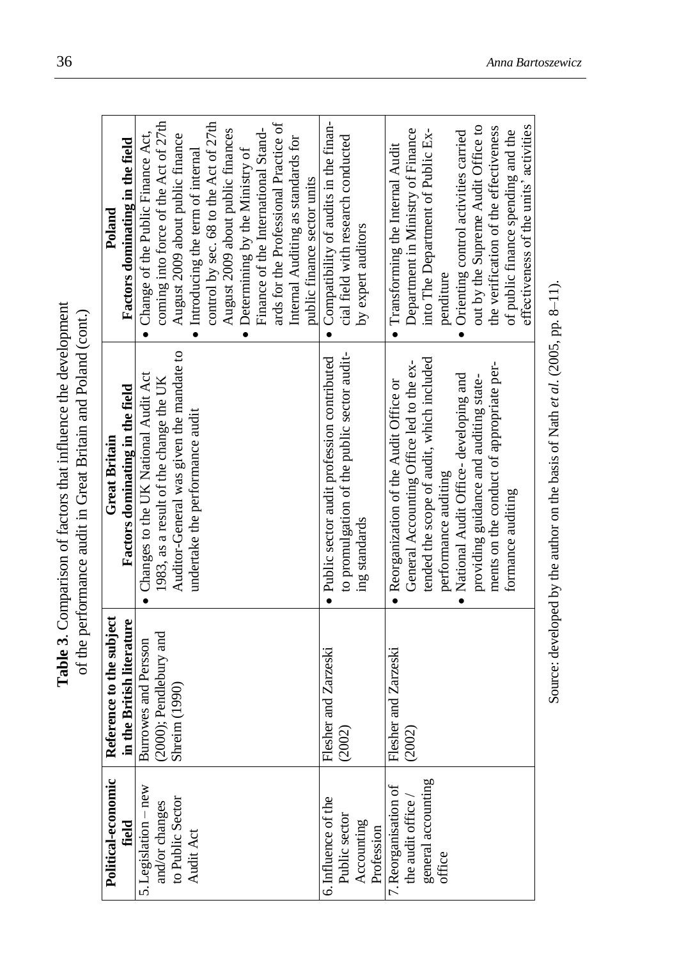|                                           |                                          | <b>Table 3.</b> Comparison of factors that influence the development<br>of the performance audit in Great Britain and Poland (cont.) |                                                                              |
|-------------------------------------------|------------------------------------------|--------------------------------------------------------------------------------------------------------------------------------------|------------------------------------------------------------------------------|
| Political-economic                        | Reference to the subject                 | <b>Great Britain</b>                                                                                                                 | Poland                                                                       |
| field                                     | the British literature<br>$\overline{a}$ | Factors dominating in the field                                                                                                      | Factors dominating in the field                                              |
| 5. Legislation - new                      | Burrowes and Persson                     | Changes to the UK National Audit Act                                                                                                 | • Change of the Public Finance Act,                                          |
| and/or changes<br>to Public Sector        | (2000); Pendlebury and                   | 1983, as a result of the change the UK                                                                                               | coming into force of the Act of 27th                                         |
|                                           | Shreim (1990)                            | Auditor-General was given the mandate to                                                                                             | August 2009 about public finance                                             |
| Audit Act                                 |                                          | undertake the performance audit                                                                                                      | • Introducing the term of internal                                           |
|                                           |                                          |                                                                                                                                      | control by sec. 68 to the Act of 27th                                        |
|                                           |                                          |                                                                                                                                      | August 2009 about public finances                                            |
|                                           |                                          |                                                                                                                                      | • Determining by the Ministry of                                             |
|                                           |                                          |                                                                                                                                      | Finance of the International Stand-                                          |
|                                           |                                          |                                                                                                                                      | ards for the Professional Practice of                                        |
|                                           |                                          |                                                                                                                                      | Internal Auditing as standards for                                           |
|                                           |                                          |                                                                                                                                      | public finance sector units                                                  |
| 6. Influence of the                       | Flesher and Zarzeski                     | · Public sector audit profession contributed                                                                                         | • Compatibility of audits in the finan-                                      |
| Public sector                             | (2002)                                   | to promulgation of the public sector audit-                                                                                          | cial field with research conducted                                           |
| Accounting<br>Profession                  |                                          | ing standards                                                                                                                        | by expert auditors                                                           |
| 7. Reorganisation of the audit office $/$ | Flesher and Zarzeski                     | • Reorganization of the Audit Office or                                                                                              | · Transforming the Internal Audit                                            |
|                                           | (2002)                                   | General Accounting Office led to the ex-                                                                                             | Department in Ministry of Finance                                            |
| general accounting                        |                                          | tended the scope of audit, which included                                                                                            | into The Department of Public Ex-                                            |
| office                                    |                                          | performance auditing                                                                                                                 | penditure                                                                    |
|                                           |                                          | National Audit Office-developing and<br>$\bullet$                                                                                    | • Orienting control activities carried                                       |
|                                           |                                          | providing guidance and auditing state-                                                                                               | out by the Supreme Audit Office to                                           |
|                                           |                                          | ments on the conduct of appropriate per-                                                                                             | the verification of the effectiveness                                        |
|                                           |                                          | formance auditing                                                                                                                    | effectiveness of the units' activities<br>of public finance spending and the |
|                                           |                                          |                                                                                                                                      |                                                                              |

Source: developed by the author on the basis of Nath *et al*. (2005, pp. 8 Source: developed by the author on the basis of Nath et al. (2005, pp. 8-11).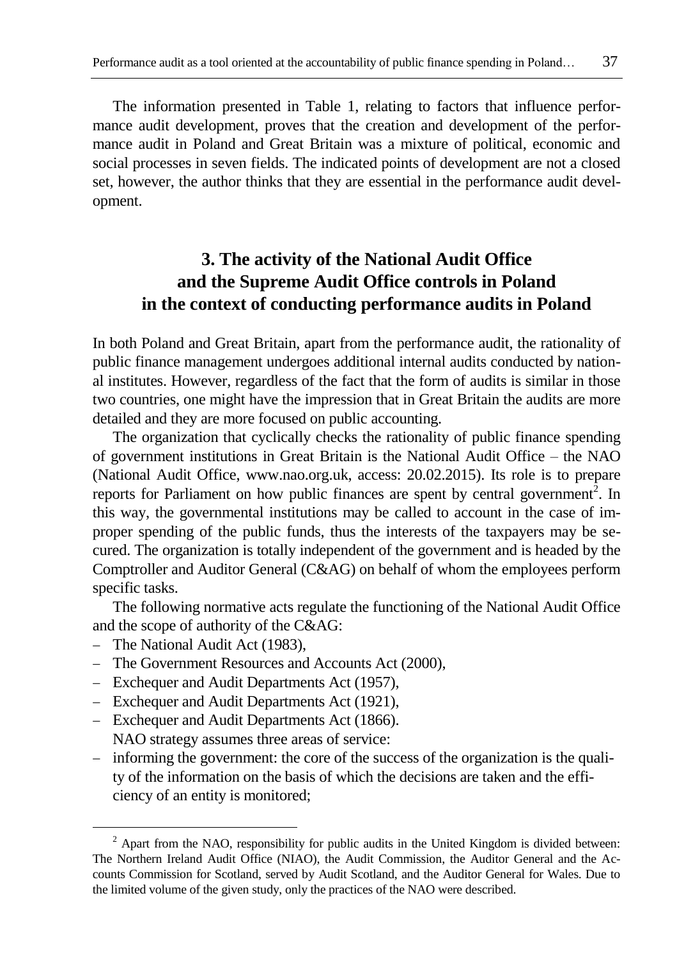The information presented in Table 1, relating to factors that influence performance audit development, proves that the creation and development of the performance audit in Poland and Great Britain was a mixture of political, economic and social processes in seven fields. The indicated points of development are not a closed set, however, the author thinks that they are essential in the performance audit development.

## **3. The activity of the National Audit Office and the Supreme Audit Office controls in Poland in the context of conducting performance audits in Poland**

In both Poland and Great Britain, apart from the performance audit, the rationality of public finance management undergoes additional internal audits conducted by national institutes. However, regardless of the fact that the form of audits is similar in those two countries, one might have the impression that in Great Britain the audits are more detailed and they are more focused on public accounting.

The organization that cyclically checks the rationality of public finance spending of government institutions in Great Britain is the National Audit Office – the NAO (National Audit Office, [www.nao.org.uk,](http://www.nao.org.uk/) access: 20.02.2015). Its role is to prepare reports for Parliament on how public finances are spent by central government<sup>2</sup>. In this way, the governmental institutions may be called to account in the case of improper spending of the public funds, thus the interests of the taxpayers may be secured. The organization is totally independent of the government and is headed by the Comptroller and Auditor General (C&AG) on behalf of whom the employees perform specific tasks.

The following normative acts regulate the functioning of the National Audit Office and the scope of authority of the C&AG:

The National Audit Act (1983),

1

- The Government Resources and Accounts Act (2000),
- Exchequer and Audit Departments Act (1957),
- Exchequer and Audit Departments Act (1921),
- Exchequer and Audit Departments Act (1866). NAO strategy assumes three areas of service:
- informing the government: the core of the success of the organization is the quality of the information on the basis of which the decisions are taken and the efficiency of an entity is monitored;

 $2$  Apart from the NAO, responsibility for public audits in the United Kingdom is divided between: The Northern Ireland Audit Office (NIAO), the Audit Commission, the Auditor General and the Accounts Commission for Scotland, served by Audit Scotland, and the Auditor General for Wales. Due to the limited volume of the given study, only the practices of the NAO were described.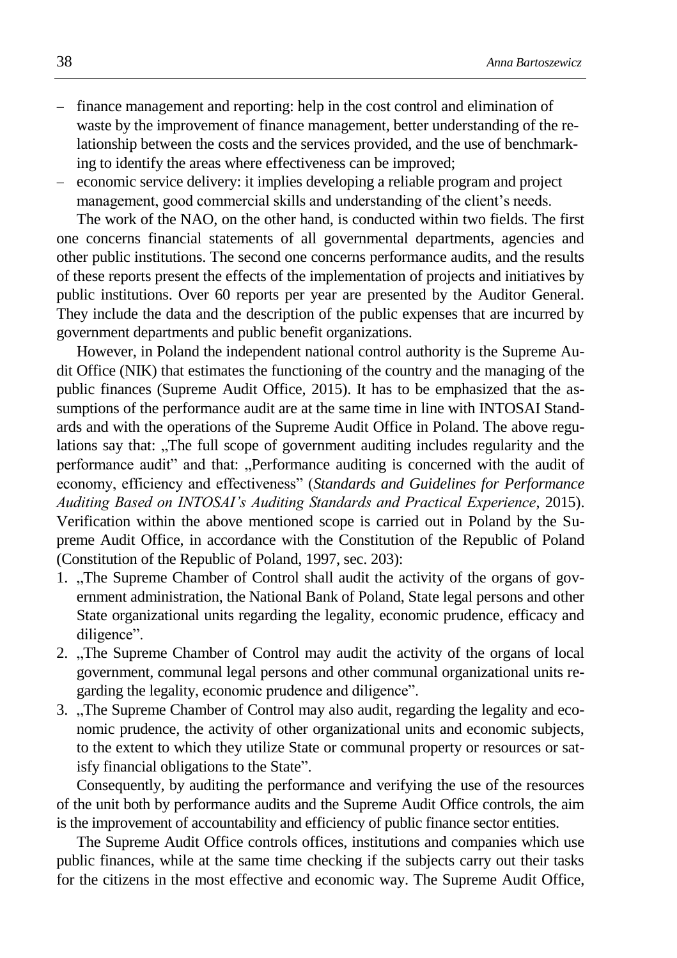- finance management and reporting: help in the cost control and elimination of waste by the improvement of finance management, better understanding of the relationship between the costs and the services provided, and the use of benchmarking to identify the areas where effectiveness can be improved;
- economic service delivery: it implies developing a reliable program and project management, good commercial skills and understanding of the client's needs.

The work of the NAO, on the other hand, is conducted within two fields. The first one concerns financial statements of all governmental departments, agencies and other public institutions. The second one concerns performance audits, and the results of these reports present the effects of the implementation of projects and initiatives by public institutions. Over 60 reports per year are presented by the Auditor General. They include the data and the description of the public expenses that are incurred by government departments and public benefit organizations.

However, in Poland the independent national control authority is the Supreme Audit Office (NIK) that estimates the functioning of the country and the managing of the public finances (Supreme Audit Office, 2015). It has to be emphasized that the assumptions of the performance audit are at the same time in line with INTOSAI Standards and with the operations of the Supreme Audit Office in Poland. The above regulations say that: "The full scope of government auditing includes regularity and the performance audit" and that: "Performance auditing is concerned with the audit of economy, efficiency and effectiveness" (*Standards and Guidelines for Performance Auditing Based on INTOSAI's Auditing Standards and Practical Experience*, 2015). Verification within the above mentioned scope is carried out in Poland by the Supreme Audit Office, in accordance with the Constitution of the Republic of Poland (Constitution of the Republic of Poland, 1997, sec. 203):

- 1. "The Supreme Chamber of Control shall audit the activity of the organs of government administration, the National Bank of Poland, State legal persons and other State organizational units regarding the legality, economic prudence, efficacy and diligence".
- 2. "The Supreme Chamber of Control may audit the activity of the organs of local government, communal legal persons and other communal organizational units regarding the legality, economic prudence and diligence".
- 3. The Supreme Chamber of Control may also audit, regarding the legality and economic prudence, the activity of other organizational units and economic subjects, to the extent to which they utilize State or communal property or resources or satisfy financial obligations to the State".

Consequently, by auditing the performance and verifying the use of the resources of the unit both by performance audits and the Supreme Audit Office controls, the aim is the improvement of accountability and efficiency of public finance sector entities.

The Supreme Audit Office controls offices, institutions and companies which use public finances, while at the same time checking if the subjects carry out their tasks for the citizens in the most effective and economic way. The Supreme Audit Office,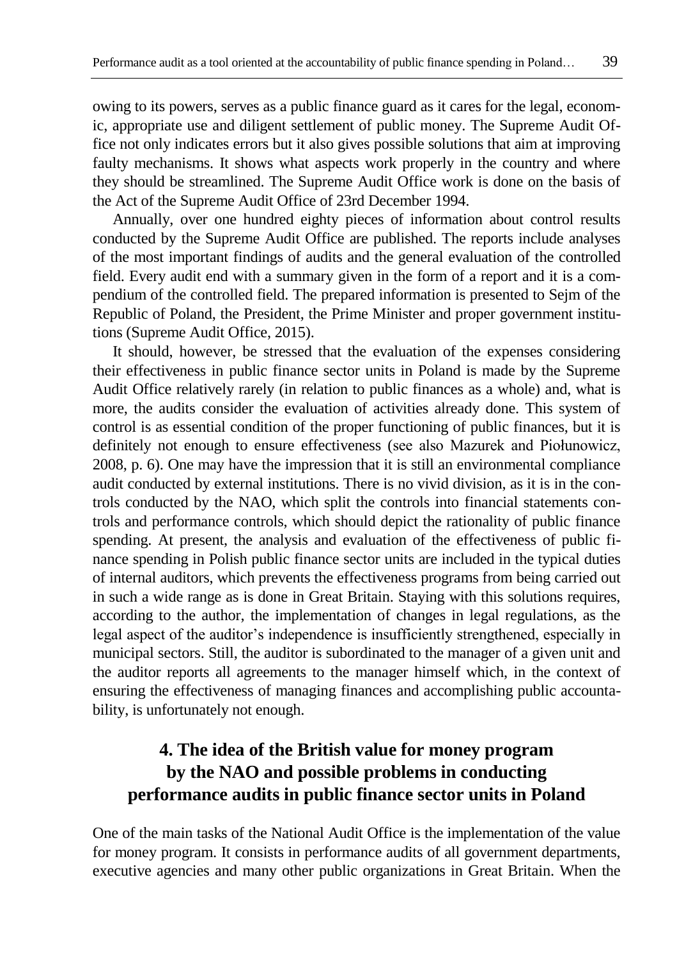owing to its powers, serves as a public finance guard as it cares for the legal, economic, appropriate use and diligent settlement of public money. The Supreme Audit Office not only indicates errors but it also gives possible solutions that aim at improving faulty mechanisms. It shows what aspects work properly in the country and where they should be streamlined. The Supreme Audit Office work is done on the basis of the Act of the Supreme Audit Office of 23rd December 1994.

Annually, over one hundred eighty pieces of information about control results conducted by the Supreme Audit Office are published. The reports include analyses of the most important findings of audits and the general evaluation of the controlled field. Every audit end with a summary given in the form of a report and it is a compendium of the controlled field. The prepared information is presented to Sejm of the Republic of Poland, the President, the Prime Minister and proper government institutions (Supreme Audit Office, 2015).

It should, however, be stressed that the evaluation of the expenses considering their effectiveness in public finance sector units in Poland is made by the Supreme Audit Office relatively rarely (in relation to public finances as a whole) and, what is more, the audits consider the evaluation of activities already done. This system of control is as essential condition of the proper functioning of public finances, but it is definitely not enough to ensure effectiveness (see also Mazurek and Piołunowicz, 2008, p. 6). One may have the impression that it is still an environmental compliance audit conducted by external institutions. There is no vivid division, as it is in the controls conducted by the NAO, which split the controls into financial statements controls and performance controls, which should depict the rationality of public finance spending. At present, the analysis and evaluation of the effectiveness of public finance spending in Polish public finance sector units are included in the typical duties of internal auditors, which prevents the effectiveness programs from being carried out in such a wide range as is done in Great Britain. Staying with this solutions requires, according to the author, the implementation of changes in legal regulations, as the legal aspect of the auditor's independence is insufficiently strengthened, especially in municipal sectors. Still, the auditor is subordinated to the manager of a given unit and the auditor reports all agreements to the manager himself which, in the context of ensuring the effectiveness of managing finances and accomplishing public accountability, is unfortunately not enough.

## **4. The idea of the British value for money program by the NAO and possible problems in conducting performance audits in public finance sector units in Poland**

One of the main tasks of the National Audit Office is the implementation of the value for money program. It consists in performance audits of all government departments, executive agencies and many other public organizations in Great Britain. When the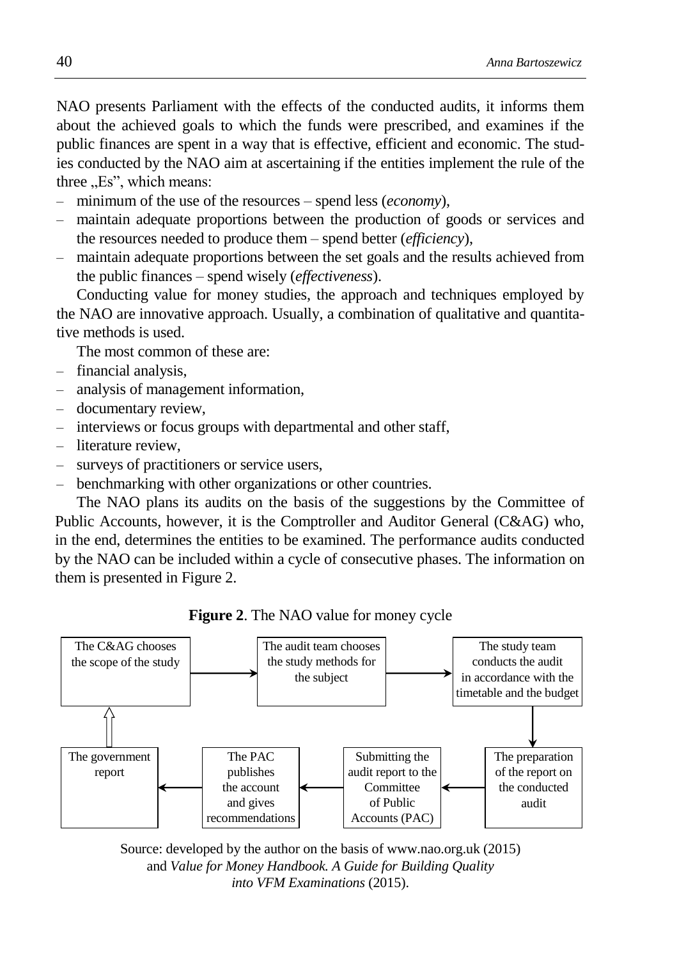NAO presents Parliament with the effects of the conducted audits, it informs them about the achieved goals to which the funds were prescribed, and examines if the public finances are spent in a way that is effective, efficient and economic. The studies conducted by the NAO aim at ascertaining if the entities implement the rule of the three  $E$ s", which means:

- minimum of the use of the resources spend less (*economy*),
- maintain adequate proportions between the production of goods or services and the resources needed to produce them – spend better (*efficiency*),
- maintain adequate proportions between the set goals and the results achieved from the public finances – spend wisely (*effectiveness*).

Conducting value for money studies, the approach and techniques employed by the NAO are innovative approach. Usually, a combination of qualitative and quantitative methods is used.

The most common of these are:

- financial analysis,
- analysis of management information,
- documentary review,
- interviews or focus groups with departmental and other staff,
- literature review,
- surveys of practitioners or service users,
- benchmarking with other organizations or other countries.

The NAO plans its audits on the basis of the suggestions by the Committee of Public Accounts, however, it is the Comptroller and Auditor General (C&AG) who, in the end, determines the entities to be examined. The performance audits conducted by the NAO can be included within a cycle of consecutive phases. The information on them is presented in Figure 2.

**Figure 2**. The NAO value for money cycle



Source: developed by the author on the basis of [www.nao.org.uk](http://www.nao.org.uk/) (2015) and *Value for Money Handbook. A Guide for Building Quality into VFM Examinations* (2015).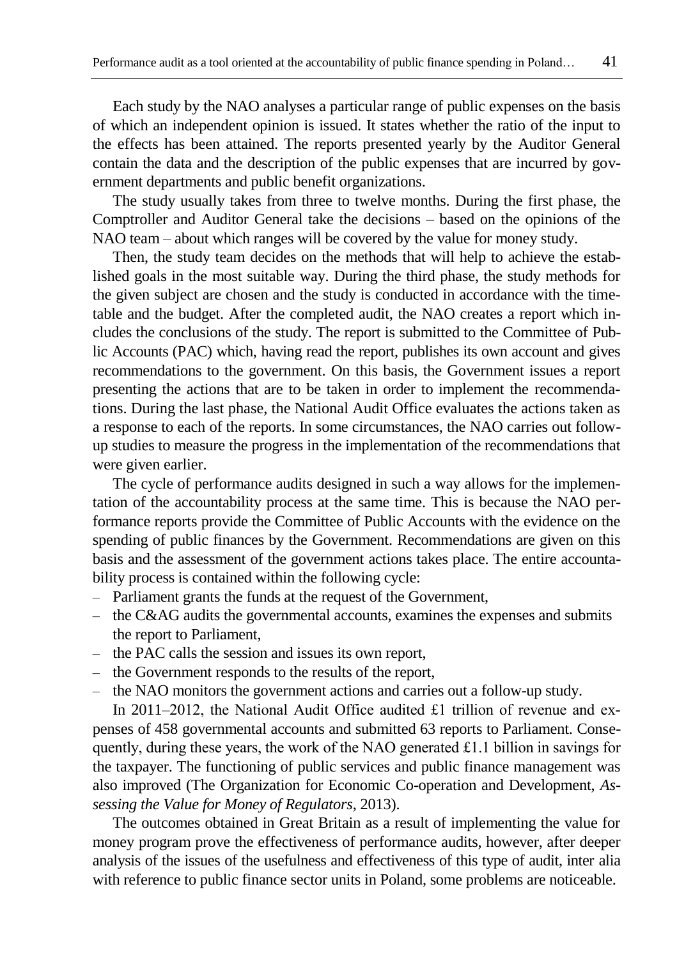Each study by the NAO analyses a particular range of public expenses on the basis of which an independent opinion is issued. It states whether the ratio of the input to the effects has been attained. The reports presented yearly by the Auditor General contain the data and the description of the public expenses that are incurred by government departments and public benefit organizations.

The study usually takes from three to twelve months. During the first phase, the Comptroller and Auditor General take the decisions – based on the opinions of the NAO team – about which ranges will be covered by the value for money study.

Then, the study team decides on the methods that will help to achieve the established goals in the most suitable way. During the third phase, the study methods for the given subject are chosen and the study is conducted in accordance with the timetable and the budget. After the completed audit, the NAO creates a report which includes the conclusions of the study. The report is submitted to the Committee of Public Accounts (PAC) which, having read the report, publishes its own account and gives recommendations to the government. On this basis, the Government issues a report presenting the actions that are to be taken in order to implement the recommendations. During the last phase, the National Audit Office evaluates the actions taken as a response to each of the reports. In some circumstances, the NAO carries out followup studies to measure the progress in the implementation of the recommendations that were given earlier.

The cycle of performance audits designed in such a way allows for the implementation of the accountability process at the same time. This is because the NAO performance reports provide the Committee of Public Accounts with the evidence on the spending of public finances by the Government. Recommendations are given on this basis and the assessment of the government actions takes place. The entire accountability process is contained within the following cycle:

- Parliament grants the funds at the request of the Government,
- the C&AG audits the governmental accounts, examines the expenses and submits the report to Parliament,
- the PAC calls the session and issues its own report,
- the Government responds to the results of the report,
- the NAO monitors the government actions and carries out a follow-up study.

In 2011–2012, the National Audit Office audited £1 trillion of revenue and expenses of 458 governmental accounts and submitted 63 reports to Parliament. Consequently, during these years, the work of the NAO generated £1.1 billion in savings for the taxpayer. The functioning of public services and public finance management was also improved (The Organization for Economic Co-operation and Development, *Assessing the Value for Money of Regulators*, 2013).

The outcomes obtained in Great Britain as a result of implementing the value for money program prove the effectiveness of performance audits, however, after deeper analysis of the issues of the usefulness and effectiveness of this type of audit, inter alia with reference to public finance sector units in Poland, some problems are noticeable.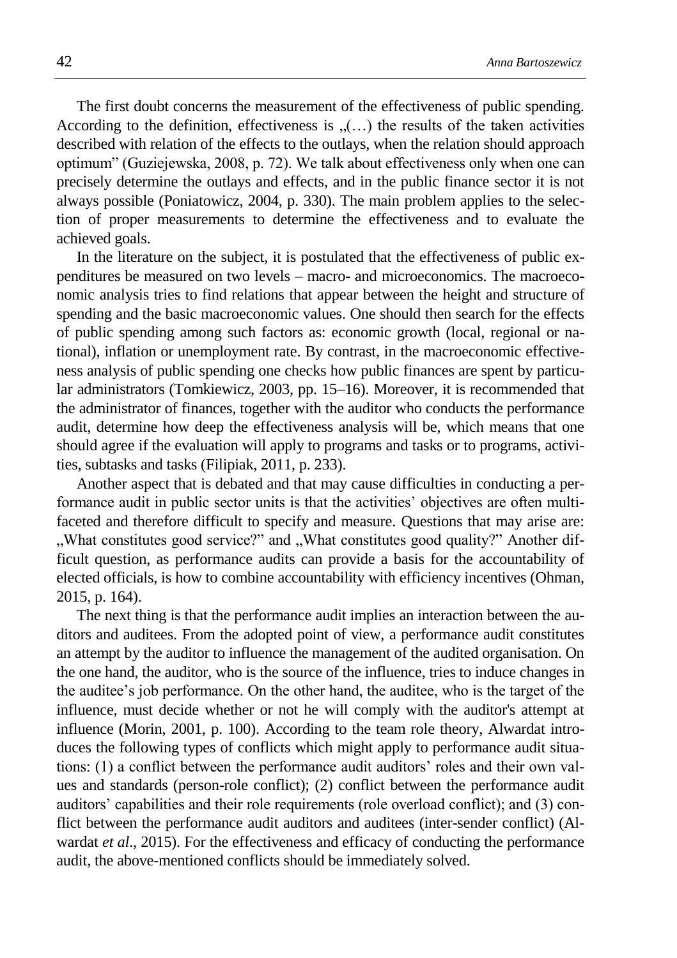The first doubt concerns the measurement of the effectiveness of public spending. According to the definition, effectiveness is  $($ ...) the results of the taken activities described with relation of the effects to the outlays, when the relation should approach optimum" (Guziejewska, 2008, p. 72). We talk about effectiveness only when one can precisely determine the outlays and effects, and in the public finance sector it is not always possible (Poniatowicz, 2004, p. 330). The main problem applies to the selection of proper measurements to determine the effectiveness and to evaluate the achieved goals.

In the literature on the subject, it is postulated that the effectiveness of public expenditures be measured on two levels – macro- and microeconomics. The macroeconomic analysis tries to find relations that appear between the height and structure of spending and the basic macroeconomic values. One should then search for the effects of public spending among such factors as: economic growth (local, regional or national), inflation or unemployment rate. By contrast, in the macroeconomic effectiveness analysis of public spending one checks how public finances are spent by particular administrators (Tomkiewicz, 2003, pp. 15–16). Moreover, it is recommended that the administrator of finances, together with the auditor who conducts the performance audit, determine how deep the effectiveness analysis will be, which means that one should agree if the evaluation will apply to programs and tasks or to programs, activities, subtasks and tasks (Filipiak, 2011, p. 233).

Another aspect that is debated and that may cause difficulties in conducting a performance audit in public sector units is that the activities' objectives are often multifaceted and therefore difficult to specify and measure. Questions that may arise are: ", What constitutes good service?" and "What constitutes good quality?" Another difficult question, as performance audits can provide a basis for the accountability of elected officials, is how to combine accountability with efficiency incentives (Ohman, 2015, p. 164).

The next thing is that the performance audit implies an interaction between the auditors and auditees. From the adopted point of view, a performance audit constitutes an attempt by the auditor to influence the management of the audited organisation. On the one hand, the auditor, who is the source of the influence, tries to induce changes in the auditee's job performance. On the other hand, the auditee, who is the target of the influence, must decide whether or not he will comply with the auditor's attempt at influence (Morin, 2001, p. 100). According to the team role theory, Alwardat introduces the following types of conflicts which might apply to performance audit situations: (1) a conflict between the performance audit auditors' roles and their own values and standards (person-role conflict); (2) conflict between the performance audit auditors' capabilities and their role requirements (role overload conflict); and (3) conflict between the performance audit auditors and auditees (inter-sender conflict) (Alwardat *et al*., 2015). [For the effectiveness and efficacy of conducting the performance](http://onlinelibrary.wiley.com/doi/10.1111/ijau.12037/full,access:19.08.2015).%20For%20the%20effectiveness%20and%20efficacy%20of%20conducting%20performance%20audit,%20the%20above-mentioned%20conflicts%20should%20be%20immediately%20solved.)  [audit, the above-mentioned conflicts should be immediately solved.](http://onlinelibrary.wiley.com/doi/10.1111/ijau.12037/full,access:19.08.2015).%20For%20the%20effectiveness%20and%20efficacy%20of%20conducting%20performance%20audit,%20the%20above-mentioned%20conflicts%20should%20be%20immediately%20solved.)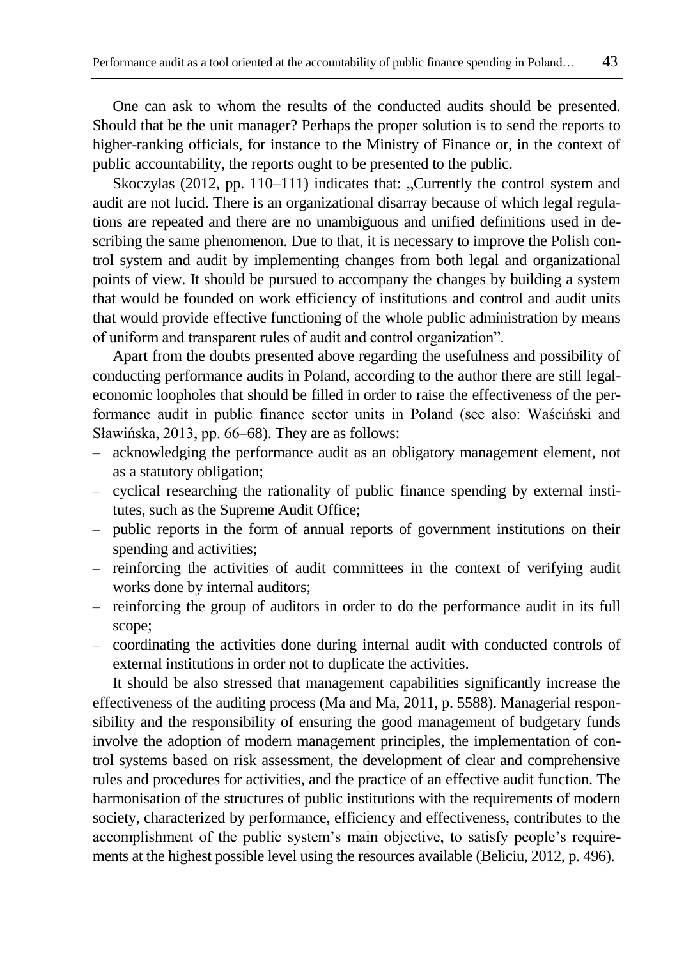One can ask to whom the results of the conducted audits should be presented. Should that be the unit manager? Perhaps the proper solution is to send the reports to higher-ranking officials, for instance to the Ministry of Finance or, in the context of public accountability, the reports ought to be presented to the public.

Skoczylas  $(2012, pp. 110-111)$  indicates that: "Currently the control system and audit are not lucid. There is an organizational disarray because of which legal regulations are repeated and there are no unambiguous and unified definitions used in describing the same phenomenon. Due to that, it is necessary to improve the Polish control system and audit by implementing changes from both legal and organizational points of view. It should be pursued to accompany the changes by building a system that would be founded on work efficiency of institutions and control and audit units that would provide effective functioning of the whole public administration by means of uniform and transparent rules of audit and control organization".

Apart from the doubts presented above regarding the usefulness and possibility of conducting performance audits in Poland, according to the author there are still legaleconomic loopholes that should be filled in order to raise the effectiveness of the performance audit in public finance sector units in Poland (see also: Waściński and Sławińska, 2013, pp. 66–68). They are as follows:

- acknowledging the performance audit as an obligatory management element, not as a statutory obligation;
- cyclical researching the rationality of public finance spending by external institutes, such as the Supreme Audit Office;
- public reports in the form of annual reports of government institutions on their spending and activities;
- reinforcing the activities of audit committees in the context of verifying audit works done by internal auditors;
- reinforcing the group of auditors in order to do the performance audit in its full scope;
- coordinating the activities done during internal audit with conducted controls of external institutions in order not to duplicate the activities.

It should be also stressed that management capabilities significantly increase the effectiveness of the auditing process (Ma and Ma, 2011, p. 5588). Managerial responsibility and the responsibility of ensuring the good management of budgetary funds involve the adoption of modern management principles, the implementation of control systems based on risk assessment, the development of clear and comprehensive rules and procedures for activities, and the practice of an effective audit function. The harmonisation of the structures of public institutions with the requirements of modern society, characterized by performance, efficiency and effectiveness, contributes to the accomplishment of the public system's main objective, to satisfy people's requirements at the highest possible level using the resources available (Beliciu, 2012, p. 496).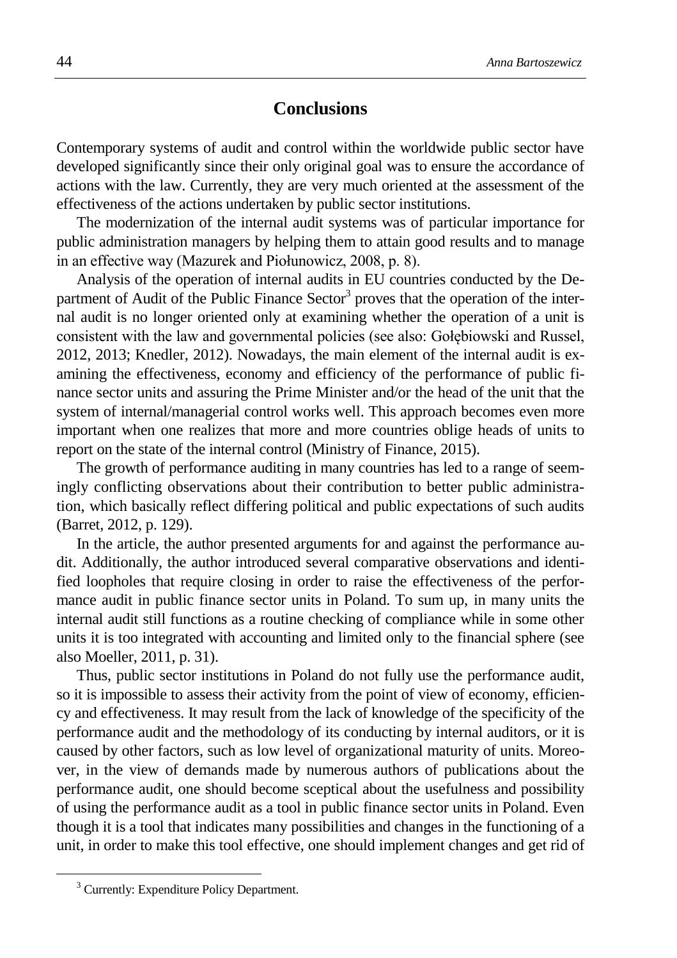### **Conclusions**

Contemporary systems of audit and control within the worldwide public sector have developed significantly since their only original goal was to ensure the accordance of actions with the law. Currently, they are very much oriented at the assessment of the effectiveness of the actions undertaken by public sector institutions.

The modernization of the internal audit systems was of particular importance for public administration managers by helping them to attain good results and to manage in an effective way (Mazurek and Piołunowicz, 2008, p. 8).

Analysis of the operation of internal audits in EU countries conducted by the Department of Audit of the Public Finance Sector<sup>3</sup> proves that the operation of the internal audit is no longer oriented only at examining whether the operation of a unit is consistent with the law and governmental policies (see also: Gołębiowski and Russel, 2012, 2013; Knedler, 2012). Nowadays, the main element of the internal audit is examining the effectiveness, economy and efficiency of the performance of public finance sector units and assuring the Prime Minister and/or the head of the unit that the system of internal/managerial control works well. This approach becomes even more important when one realizes that more and more countries oblige heads of units to report on the state of the internal control (Ministry of Finance, 2015).

The growth of performance auditing in many countries has led to a range of seemingly conflicting observations about their contribution to better public administration, which basically reflect differing political and public expectations of such audits (Barret, 2012, p. 129).

In the article, the author presented arguments for and against the performance audit. Additionally, the author introduced several comparative observations and identified loopholes that require closing in order to raise the effectiveness of the performance audit in public finance sector units in Poland. To sum up, in many units the internal audit still functions as a routine checking of compliance while in some other units it is too integrated with accounting and limited only to the financial sphere (see also Moeller, 2011, p. 31).

Thus, public sector institutions in Poland do not fully use the performance audit, so it is impossible to assess their activity from the point of view of economy, efficiency and effectiveness. It may result from the lack of knowledge of the specificity of the performance audit and the methodology of its conducting by internal auditors, or it is caused by other factors, such as low level of organizational maturity of units. Moreover, in the view of demands made by numerous authors of publications about the performance audit, one should become sceptical about the usefulness and possibility of using the performance audit as a tool in public finance sector units in Poland. Even though it is a tool that indicates many possibilities and changes in the functioning of a unit, in order to make this tool effective, one should implement changes and get rid of

1

<sup>&</sup>lt;sup>3</sup> Currently: Expenditure Policy Department.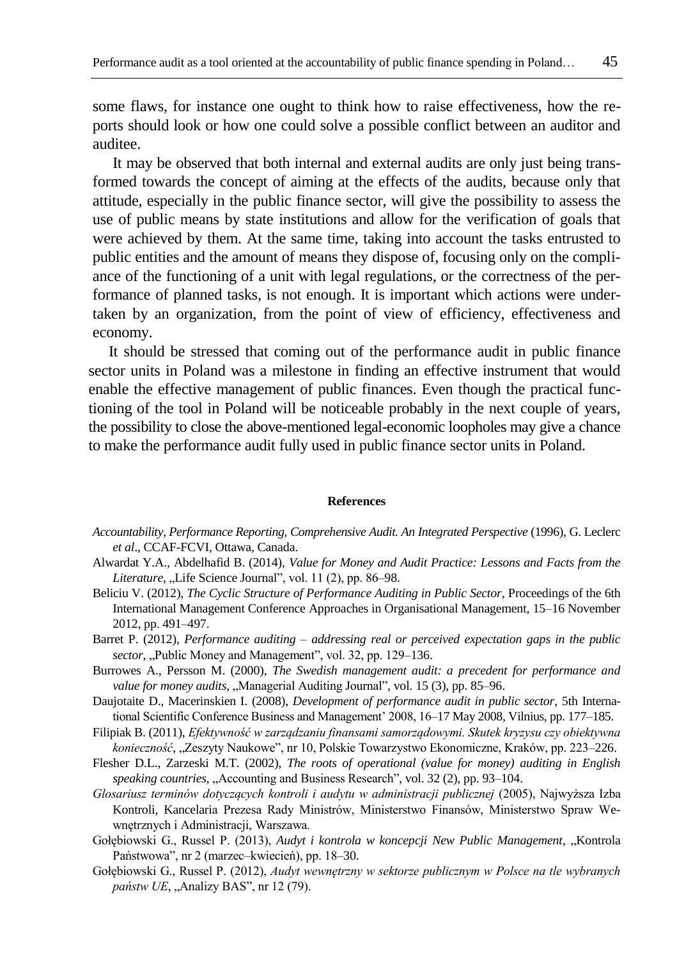some flaws, for instance one ought to think how to raise effectiveness, how the reports should look or how one could solve a possible conflict between an auditor and auditee.

It may be observed that both internal and external audits are only just being transformed towards the concept of aiming at the effects of the audits, because only that attitude, especially in the public finance sector, will give the possibility to assess the use of public means by state institutions and allow for the verification of goals that were achieved by them. At the same time, taking into account the tasks entrusted to public entities and the amount of means they dispose of, focusing only on the compliance of the functioning of a unit with legal regulations, or the correctness of the performance of planned tasks, is not enough. It is important which actions were undertaken by an organization, from the point of view of efficiency, effectiveness and economy.

It should be stressed that coming out of the performance audit in public finance sector units in Poland was a milestone in finding an effective instrument that would enable the effective management of public finances. Even though the practical functioning of the tool in Poland will be noticeable probably in the next couple of years, the possibility to close the above-mentioned legal-economic loopholes may give a chance to make the performance audit fully used in public finance sector units in Poland.

#### **References**

- *Accountability, Performance Reporting, Comprehensive Audit. An Integrated Perspective* (1996), G. Leclerc *et al*., CCAF-FCVI, Ottawa, Canada.
- Alwardat Y.A., Abdelhafid B. (2014), *Value for Money and Audit Practice: Lessons and Facts from the Literature*, "Life Science Journal", vol. 11 (2), pp. 86–98.
- Beliciu V. (2012), *The Cyclic Structure of Performance Auditing in Public Sector*, Proceedings of the 6th International Management Conference Approaches in Organisational Management, 15–16 November 2012, pp. 491–497.
- Barret P. (2012), *Performance auditing – addressing real or perceived expectation gaps in the public sector*, "Public Money and Management", vol. 32, pp. 129–136.
- Burrowes A., Persson M. (2000), *The Swedish management audit: a precedent for performance and value for money audits, "Managerial Auditing Journal", vol.* 15 (3), pp. 85–96.
- Daujotaite D., Macerinskien I. (2008), *Development of performance audit in public sector*, 5th International Scientific Conference Business and Management' 2008, 16–17 May 2008, Vilnius, pp. 177–185.
- Filipiak B. (2011), *Efektywność w zarządzaniu finansami samorządowymi. Skutek kryzysu czy obiektywna konieczność*, "Zeszyty Naukowe", nr 10, Polskie Towarzystwo Ekonomiczne, Kraków, pp. 223–226.
- Flesher D.L., Zarzeski M.T. (2002), *The roots of operational (value for money) auditing in English speaking countries*, "Accounting and Business Research", vol. 32 (2), pp. 93–104.
- *Glosariusz terminów dotyczących kontroli i audytu w administracji publicznej* (2005), Najwyższa Izba Kontroli, Kancelaria Prezesa Rady Ministrów, Ministerstwo Finansów, Ministerstwo Spraw Wewnętrznych i Administracji, Warszawa.
- Gołębiowski G., Russel P. (2013), *Audyt i kontrola w koncepcji New Public Management*, "Kontrola Państwowa", nr 2 (marzec–kwiecień), pp. 18–30.
- Gołębiowski G., Russel P. (2012), *Audyt wewnętrzny w sektorze publicznym w Polsce na tle wybranych państw UE*, "Analizy BAS", nr 12 (79).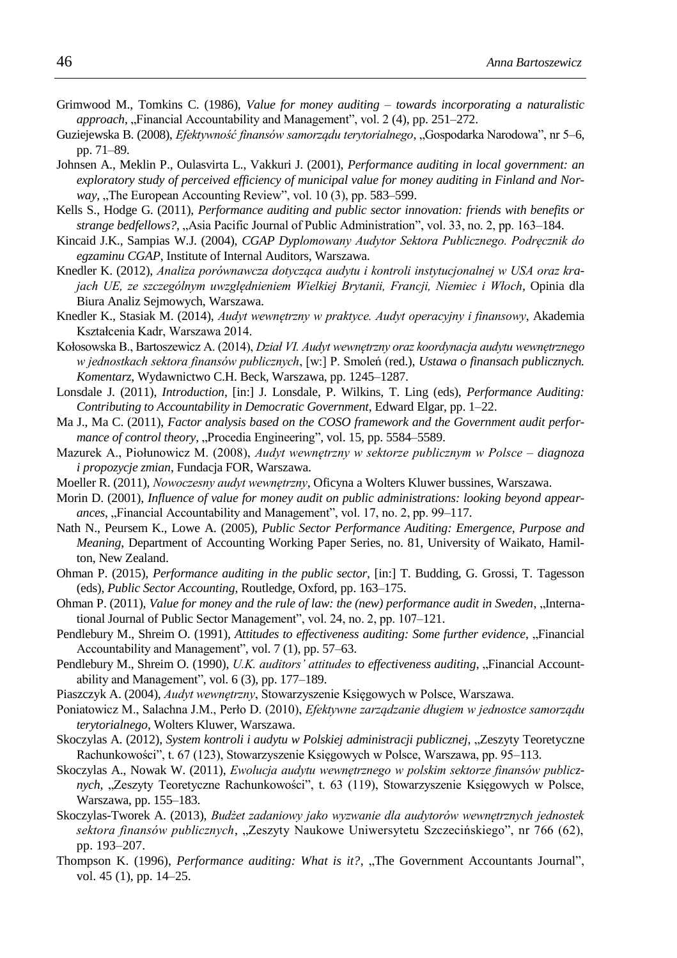- Grimwood M., Tomkins C. (1986), *Value for money auditing towards incorporating a naturalistic approach*, "Financial Accountability and Management", vol. 2 (4), pp. 251–272.
- Guziejewska B. (2008), *Efektywność finansów samorządu terytorialnego*, "Gospodarka Narodowa", nr 5–6, pp. 71–89.
- Johnsen A., Meklin P., Oulasvirta L., Vakkuri J. (2001), *Performance auditing in local government: an exploratory study of perceived efficiency of municipal value for money auditing in Finland and Norway*, "The European Accounting Review", vol. 10 (3), pp. 583–599.
- Kells S., Hodge G. (2011), *Performance auditing and public sector innovation: friends with benefits or strange bedfellows?*, "Asia Pacific Journal of Public Administration", vol. 33, no. 2, pp. 163–184.
- Kincaid J.K., Sampias W.J. (2004), *CGAP Dyplomowany Audytor Sektora Publicznego. Podręcznik do egzaminu CGAP*, Institute of Internal Auditors, Warszawa.
- Knedler K. (2012), *Analiza porównawcza dotycząca audytu i kontroli instytucjonalnej w USA oraz krajach UE, ze szczególnym uwzględnieniem Wielkiej Brytanii, Francji, Niemiec i Włoch*, Opinia dla Biura Analiz Sejmowych, Warszawa.
- Knedler K., Stasiak M. (2014), *Audyt wewnętrzny w praktyce. Audyt operacyjny i finansowy*, Akademia Kształcenia Kadr, Warszawa 2014.
- Kołosowska B., Bartoszewicz A. (2014), *Dział VI. Audyt wewnętrzny oraz koordynacja audytu wewnętrznego w jednostkach sektora finansów publicznych*, [w:] P. Smoleń (red.), *Ustawa o finansach publicznych. Komentarz*, Wydawnictwo C.H. Beck, Warszawa, pp. 1245–1287.
- Lonsdale J. (2011), *Introduction*, [in:] J. Lonsdale, P. Wilkins, T. Ling (eds), *Performance Auditing: Contributing to Accountability in Democratic Government*, Edward Elgar, pp. 1–22.
- Ma J., Ma C. (2011), *Factor analysis based on the COSO framework and the Government audit performance of control theory*, "Procedia Engineering", vol. 15, pp. 5584–5589.
- Mazurek A., Piołunowicz M. (2008), *Audyt wewnętrzny w sektorze publicznym w Polsce diagnoza i propozycje zmian*, Fundacja FOR, Warszawa.
- Moeller R. (2011), *Nowoczesny audyt wewnętrzny*, Oficyna a Wolters Kluwer bussines, Warszawa.
- Morin D. (2001), *Influence of value for money audit on public administrations: looking beyond appearances*, "Financial Accountability and Management", vol. 17, no. 2, pp. 99–117.
- Nath N., Peursem K., Lowe A. (2005), *Public Sector Performance Auditing: Emergence, Purpose and Meaning*, Department of Accounting Working Paper Series, no. 81, University of Waikato, Hamilton, New Zealand.
- Ohman P. (2015), *Performance auditing in the public sector*, [in:] T. Budding, G. Grossi, T. Tagesson (eds), *Public Sector Accounting*, Routledge, Oxford, pp. 163–175.
- Ohman P. (2011), *Value for money and the rule of law: the (new) performance audit in Sweden*, "International Journal of Public Sector Management", vol. 24, no. 2, pp. 107–121.
- Pendlebury M., Shreim O. (1991), *Attitudes to effectiveness auditing: Some further evidence*, "Financial Accountability and Management", vol. 7 (1), pp. 57–63.
- Pendlebury M., Shreim O. (1990), *U.K. auditors' attitudes to effectiveness auditing*, "Financial Accountability and Management", vol. 6 (3), pp. 177–189.
- Piaszczyk A. (2004), *Audyt wewnętrzny*, Stowarzyszenie Księgowych w Polsce, Warszawa.
- Poniatowicz M., Salachna J.M., Perło D. (2010), *Efektywne zarządzanie długiem w jednostce samorządu terytorialnego*, Wolters Kluwer, Warszawa.
- Skoczylas A. (2012), *System kontroli i audytu w Polskiej administracji publicznej*, "Zeszyty Teoretyczne Rachunkowości", t. 67 (123), Stowarzyszenie Księgowych w Polsce, Warszawa, pp. 95–113.
- Skoczylas A., Nowak W. (2011), *Ewolucja audytu wewnętrznego w polskim sektorze finansów publicznych*, "Zeszyty Teoretyczne Rachunkowości", t. 63 (119), Stowarzyszenie Księgowych w Polsce, Warszawa, pp. 155–183.
- Skoczylas-Tworek A. (2013), *Budżet zadaniowy jako wyzwanie dla audytorów wewnętrznych jednostek sektora finansów publicznych*, "Zeszyty Naukowe Uniwersytetu Szczecińskiego", nr 766 (62), pp. 193–207.
- Thompson K. (1996), *Performance auditing: What is it?*, "The Government Accountants Journal", vol. 45 (1), pp. 14–25.